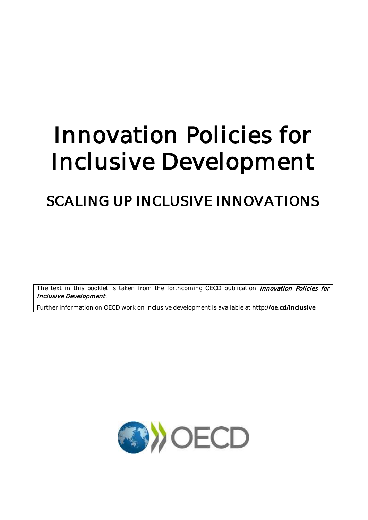# Innovation Policies for Inclusive Development

# SCALING UP INCLUSIVE INNOVATIONS

The text in this booklet is taken from the forthcoming OECD publication *Innovation Policies for* Inclusive Development.

Further information on OECD work on inclusive development is available at http://oe.cd/inclusive

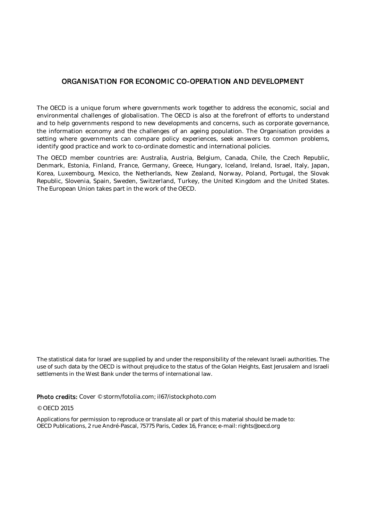# ORGANISATION FOR ECONOMIC CO-OPERATION AND DEVELOPMENT

The OECD is a unique forum where governments work together to address the economic, social and environmental challenges of globalisation. The OECD is also at the forefront of efforts to understand and to help governments respond to new developments and concerns, such as corporate governance, the information economy and the challenges of an ageing population. The Organisation provides a setting where governments can compare policy experiences, seek answers to common problems, identify good practice and work to co-ordinate domestic and international policies.

The OECD member countries are: Australia, Austria, Belgium, Canada, Chile, the Czech Republic, Denmark, Estonia, Finland, France, Germany, Greece, Hungary, Iceland, Ireland, Israel, Italy, Japan, Korea, Luxembourg, Mexico, the Netherlands, New Zealand, Norway, Poland, Portugal, the Slovak Republic, Slovenia, Spain, Sweden, Switzerland, Turkey, the United Kingdom and the United States. The European Union takes part in the work of the OECD.

The statistical data for Israel are supplied by and under the responsibility of the relevant Israeli authorities. The use of such data by the OECD is without prejudice to the status of the Golan Heights, East Jerusalem and Israeli settlements in the West Bank under the terms of international law.

Photo credits: Cover © storm/fotolia.com; il67/istockphoto.com

#### © OECD 2015

Applications for permission to reproduce or translate all or part of this material should be made to: OECD Publications, 2 rue André-Pascal, 75775 Paris, Cedex 16, France; e-mail[: rights@oecd.org](mailto:rights@oecd.org)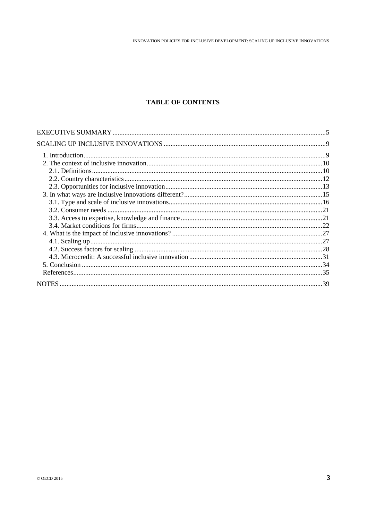# **TABLE OF CONTENTS**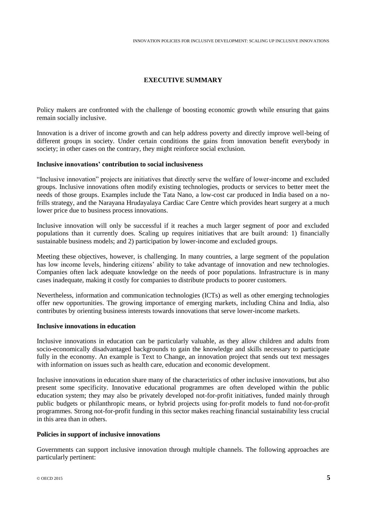# **EXECUTIVE SUMMARY**

Policy makers are confronted with the challenge of boosting economic growth while ensuring that gains remain socially inclusive.

Innovation is a driver of income growth and can help address poverty and directly improve well-being of different groups in society. Under certain conditions the gains from innovation benefit everybody in society; in other cases on the contrary, they might reinforce social exclusion.

# **Inclusive innovations' contribution to social inclusiveness**

"Inclusive innovation" projects are initiatives that directly serve the welfare of lower-income and excluded groups. Inclusive innovations often modify existing technologies, products or services to better meet the needs of those groups. Examples include the Tata Nano, a low-cost car produced in India based on a nofrills strategy, and the Narayana Hrudayalaya Cardiac Care Centre which provides heart surgery at a much lower price due to business process innovations.

Inclusive innovation will only be successful if it reaches a much larger segment of poor and excluded populations than it currently does. Scaling up requires initiatives that are built around: 1) financially sustainable business models; and 2) participation by lower-income and excluded groups.

Meeting these objectives, however, is challenging. In many countries, a large segment of the population has low income levels, hindering citizens' ability to take advantage of innovation and new technologies. Companies often lack adequate knowledge on the needs of poor populations. Infrastructure is in many cases inadequate, making it costly for companies to distribute products to poorer customers.

Nevertheless, information and communication technologies (ICTs) as well as other emerging technologies offer new opportunities. The growing importance of emerging markets, including China and India, also contributes by orienting business interests towards innovations that serve lower-income markets.

#### **Inclusive innovations in education**

Inclusive innovations in education can be particularly valuable, as they allow children and adults from socio-economically disadvantaged backgrounds to gain the knowledge and skills necessary to participate fully in the economy. An example is Text to Change, an innovation project that sends out text messages with information on issues such as health care, education and economic development.

Inclusive innovations in education share many of the characteristics of other inclusive innovations, but also present some specificity. Innovative educational programmes are often developed within the public education system; they may also be privately developed not-for-profit initiatives, funded mainly through public budgets or philanthropic means, or hybrid projects using for-profit models to fund not-for-profit programmes. Strong not-for-profit funding in this sector makes reaching financial sustainability less crucial in this area than in others.

#### **Policies in support of inclusive innovations**

Governments can support inclusive innovation through multiple channels. The following approaches are particularly pertinent: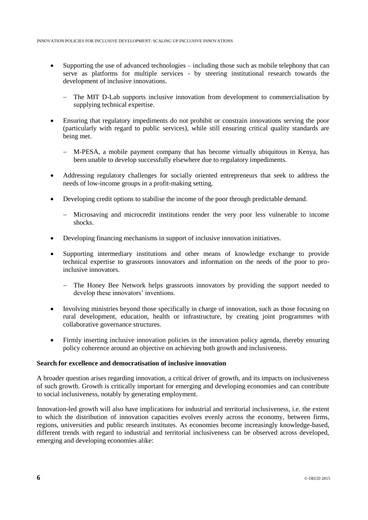- Supporting the use of advanced technologies including those such as mobile telephony that can serve as platforms for multiple services - by steering institutional research towards the development of inclusive innovations.
	- The MIT D-Lab supports inclusive innovation from development to commercialisation by supplying technical expertise.
- Ensuring that regulatory impediments do not prohibit or constrain innovations serving the poor (particularly with regard to public services), while still ensuring critical quality standards are being met.
	- M-PESA, a mobile payment company that has become virtually ubiquitous in Kenya, has been unable to develop successfully elsewhere due to regulatory impediments.
- Addressing regulatory challenges for socially oriented entrepreneurs that seek to address the needs of low-income groups in a profit-making setting.
- Developing credit options to stabilise the income of the poor through predictable demand.
	- Microsaving and microcredit institutions render the very poor less vulnerable to income shocks.
- Developing financing mechanisms in support of inclusive innovation initiatives.
- Supporting intermediary institutions and other means of knowledge exchange to provide technical expertise to grassroots innovators and information on the needs of the poor to proinclusive innovators.
	- The Honey Bee Network helps grassroots innovators by providing the support needed to develop these innovators' inventions.
- Involving ministries beyond those specifically in charge of innovation, such as those focusing on rural development, education, health or infrastructure, by creating joint programmes with collaborative governance structures.
- Firmly inserting inclusive innovation policies in the innovation policy agenda, thereby ensuring policy coherence around an objective on achieving both growth and inclusiveness.

# **Search for excellence and democratisation of inclusive innovation**

A broader question arises regarding innovation, a critical driver of growth, and its impacts on inclusiveness of such growth. Growth is critically important for emerging and developing economies and can contribute to social inclusiveness, notably by generating employment.

Innovation-led growth will also have implications for industrial and territorial inclusiveness, i.e. the extent to which the distribution of innovation capacities evolves evenly across the economy, between firms, regions, universities and public research institutes. As economies become increasingly knowledge-based, different trends with regard to industrial and territorial inclusiveness can be observed across developed, emerging and developing economies alike: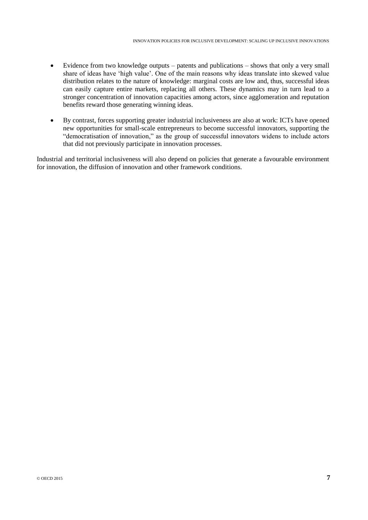- Evidence from two knowledge outputs patents and publications shows that only a very small share of ideas have 'high value'. One of the main reasons why ideas translate into skewed value distribution relates to the nature of knowledge: marginal costs are low and, thus, successful ideas can easily capture entire markets, replacing all others. These dynamics may in turn lead to a stronger concentration of innovation capacities among actors, since agglomeration and reputation benefits reward those generating winning ideas.
- By contrast, forces supporting greater industrial inclusiveness are also at work: ICTs have opened new opportunities for small-scale entrepreneurs to become successful innovators, supporting the "democratisation of innovation," as the group of successful innovators widens to include actors that did not previously participate in innovation processes.

Industrial and territorial inclusiveness will also depend on policies that generate a favourable environment for innovation, the diffusion of innovation and other framework conditions.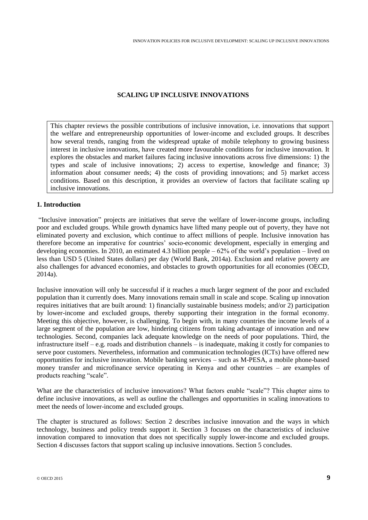# **SCALING UP INCLUSIVE INNOVATIONS**

This chapter reviews the possible contributions of inclusive innovation, i.e. innovations that support the welfare and entrepreneurship opportunities of lower-income and excluded groups. It describes how several trends, ranging from the widespread uptake of mobile telephony to growing business interest in inclusive innovations, have created more favourable conditions for inclusive innovation. It explores the obstacles and market failures facing inclusive innovations across five dimensions: 1) the types and scale of inclusive innovations; 2) access to expertise, knowledge and finance; 3) information about consumer needs; 4) the costs of providing innovations; and 5) market access conditions. Based on this description, it provides an overview of factors that facilitate scaling up inclusive innovations.

# **1. Introduction**

"Inclusive innovation" projects are initiatives that serve the welfare of lower-income groups, including poor and excluded groups. While growth dynamics have lifted many people out of poverty, they have not eliminated poverty and exclusion, which continue to affect millions of people. Inclusive innovation has therefore become an imperative for countries' socio-economic development, especially in emerging and developing economies. In 2010, an estimated 4.3 billion people  $-62\%$  of the world's population – lived on less than USD 5 (United States dollars) per day (World Bank, 2014a). Exclusion and relative poverty are also challenges for advanced economies, and obstacles to growth opportunities for all economies (OECD, 2014a).

Inclusive innovation will only be successful if it reaches a much larger segment of the poor and excluded population than it currently does. Many innovations remain small in scale and scope. Scaling up innovation requires initiatives that are built around: 1) financially sustainable business models; and/or 2) participation by lower-income and excluded groups, thereby supporting their integration in the formal economy. Meeting this objective, however, is challenging. To begin with, in many countries the income levels of a large segment of the population are low, hindering citizens from taking advantage of innovation and new technologies. Second, companies lack adequate knowledge on the needs of poor populations. Third, the infrastructure itself – e.g. roads and distribution channels – is inadequate, making it costly for companies to serve poor customers. Nevertheless, information and communication technologies (ICTs) have offered new opportunities for inclusive innovation. Mobile banking services – such as M-PESA, a mobile phone-based money transfer and microfinance service operating in Kenya and other countries – are examples of products reaching "scale".

What are the characteristics of inclusive innovations? What factors enable "scale"? This chapter aims to define inclusive innovations, as well as outline the challenges and opportunities in scaling innovations to meet the needs of lower-income and excluded groups.

The chapter is structured as follows: Section 2 describes inclusive innovation and the ways in which technology, business and policy trends support it. Section 3 focuses on the characteristics of inclusive innovation compared to innovation that does not specifically supply lower-income and excluded groups. Section 4 discusses factors that support scaling up inclusive innovations. Section 5 concludes.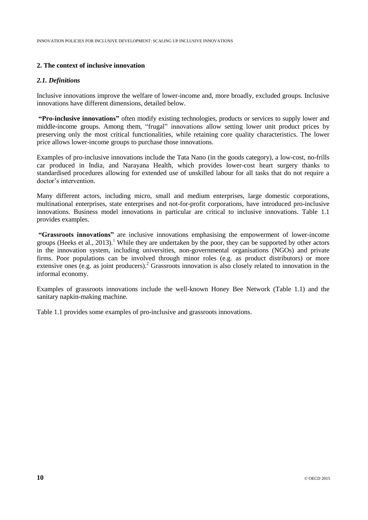# **2. The context of inclusive innovation**

# *2.1. Definitions*

Inclusive innovations improve the welfare of lower-income and, more broadly, excluded groups. Inclusive innovations have different dimensions, detailed below.

**"Pro-inclusive innovations"** often modify existing technologies, products or services to supply lower and middle-income groups. Among them, "frugal" innovations allow setting lower unit product prices by preserving only the most critical functionalities, while retaining core quality characteristics. The lower price allows lower-income groups to purchase those innovations.

Examples of pro-inclusive innovations include the Tata Nano (in the goods category), a low-cost, no-frills car produced in India, and Narayana Health, which provides lower-cost heart surgery thanks to standardised procedures allowing for extended use of unskilled labour for all tasks that do not require a doctor's intervention.

Many different actors, including micro, small and medium enterprises, large domestic corporations, multinational enterprises, state enterprises and not-for-profit corporations, have introduced pro-inclusive innovations. Business model innovations in particular are critical to inclusive innovations. Table 1.1 provides examples.

**"Grassroots innovations"** are inclusive innovations emphasising the empowerment of lower-income groups (Heeks et al., 2013).<sup>1</sup> While they are undertaken by the poor, they can be supported by other actors in the innovation system, including universities, non-governmental organisations (NGOs) and private firms. Poor populations can be involved through minor roles (e.g. as product distributors) or more extensive ones (e.g. as joint producers).<sup>2</sup> Grassroots innovation is also closely related to innovation in the informal economy.

Examples of grassroots innovations include the well-known Honey Bee Network (Table 1.1) and the sanitary napkin-making machine.

Table 1.1 provides some examples of pro-inclusive and grassroots innovations.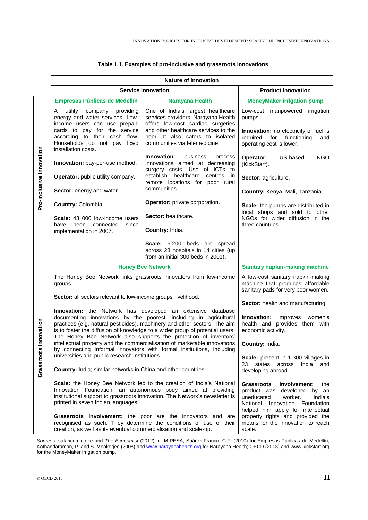|                          | <b>Nature of innovation</b>                                                                                                                                                                                                                                                                                                                                                                                                                                                                                             |                                                                                                                                                                                                                            |                                                                                                                                                        |  |
|--------------------------|-------------------------------------------------------------------------------------------------------------------------------------------------------------------------------------------------------------------------------------------------------------------------------------------------------------------------------------------------------------------------------------------------------------------------------------------------------------------------------------------------------------------------|----------------------------------------------------------------------------------------------------------------------------------------------------------------------------------------------------------------------------|--------------------------------------------------------------------------------------------------------------------------------------------------------|--|
|                          | <b>Service innovation</b>                                                                                                                                                                                                                                                                                                                                                                                                                                                                                               | <b>Product innovation</b>                                                                                                                                                                                                  |                                                                                                                                                        |  |
|                          | <b>Empresas Públicas de Medellín</b>                                                                                                                                                                                                                                                                                                                                                                                                                                                                                    | Narayana Health                                                                                                                                                                                                            | <b>MoneyMaker irrigation pump</b>                                                                                                                      |  |
|                          | A<br>utility<br>company providing<br>energy and water services. Low-<br>income users can use prepaid<br>cards to pay for the service<br>according to their cash flow.<br>Households do not pay fixed<br>installation costs.                                                                                                                                                                                                                                                                                             | One of India's largest healthcare<br>services providers, Narayana Health<br>offers low-cost cardiac surgeries<br>and other healthcare services to the<br>poor. It also caters to isolated<br>communities via telemedicine. | Low-cost manpowered<br>irrigation<br>pumps.<br>Innovation: no electricity or fuel is<br>required<br>for functioning<br>and<br>operating cost is lower. |  |
| Pro-inclusive Innovation | Innovation: pay-per-use method.                                                                                                                                                                                                                                                                                                                                                                                                                                                                                         | Innovation:<br>business<br>process<br>innovations aimed at decreasing<br>surgery costs. Use of ICTs to                                                                                                                     | Operator:<br>US-based<br><b>NGO</b><br>(KickStart).                                                                                                    |  |
|                          | Operator: public utility company.                                                                                                                                                                                                                                                                                                                                                                                                                                                                                       | establish healthcare centres in<br>remote locations for poor rural                                                                                                                                                         | Sector: agriculture.                                                                                                                                   |  |
|                          | Sector: energy and water.                                                                                                                                                                                                                                                                                                                                                                                                                                                                                               | communities.                                                                                                                                                                                                               | Country: Kenya, Mali, Tanzania.                                                                                                                        |  |
|                          | Country: Colombia.                                                                                                                                                                                                                                                                                                                                                                                                                                                                                                      | Operator: private corporation.                                                                                                                                                                                             | Scale: the pumps are distributed in                                                                                                                    |  |
|                          | Scale: 43 000 low-income users<br>have been<br>connected<br>since<br>implementation in 2007.                                                                                                                                                                                                                                                                                                                                                                                                                            | Sector: healthcare.<br>Country: India.                                                                                                                                                                                     | local shops and sold to other<br>NGOs for wider diffusion in the<br>three countries.                                                                   |  |
|                          |                                                                                                                                                                                                                                                                                                                                                                                                                                                                                                                         | Scale: 6 200 beds are spread<br>across 23 hospitals in 14 cities (up<br>from an initial 300 beds in 2001).                                                                                                                 |                                                                                                                                                        |  |
|                          |                                                                                                                                                                                                                                                                                                                                                                                                                                                                                                                         | <b>Honey Bee Network</b>                                                                                                                                                                                                   | <b>Sanitary napkin-making machine</b>                                                                                                                  |  |
|                          | The Honey Bee Network links grassroots innovators from low-income<br>groups.                                                                                                                                                                                                                                                                                                                                                                                                                                            | A low-cost sanitary napkin-making<br>machine that produces affordable<br>sanitary pads for very poor women.                                                                                                                |                                                                                                                                                        |  |
|                          | Sector: all sectors relevant to low-income groups' livelihood.                                                                                                                                                                                                                                                                                                                                                                                                                                                          |                                                                                                                                                                                                                            | Sector: health and manufacturing.                                                                                                                      |  |
| Innovation<br>S          | Innovation: the Network has developed an extensive database<br>documenting innovations by the poorest, including in agricultural<br>practices (e.g. natural pesticides), machinery and other sectors. The aim<br>is to foster the diffusion of knowledge to a wider group of potential users.<br>The Honey Bee Network also supports the protection of inventors'<br>intellectual property and the commercialisation of marketable innovations<br>by connecting informal innovators with formal institutions, including | Innovation: improves women's<br>health and provides them with<br>economic activity.<br>Country: India.                                                                                                                     |                                                                                                                                                        |  |
| Grassroot                | universities and public research institutions.<br>Country: India; similar networks in China and other countries.                                                                                                                                                                                                                                                                                                                                                                                                        | <b>Scale:</b> present in 1 300 villages in<br>23 states across<br>India<br>and<br>developing abroad.                                                                                                                       |                                                                                                                                                        |  |
|                          | Scale: the Honey Bee Network led to the creation of India's National<br>Innovation Foundation, an autonomous body aimed at providing<br>institutional support to grassroots innovation. The Network's newsletter is<br>printed in seven Indian languages.                                                                                                                                                                                                                                                               | Grassroots involvement:<br>the<br>product was developed by an<br>uneducated<br>worker.<br>India's<br>National<br>Innovation<br>Foundation<br>helped him apply for intellectual                                             |                                                                                                                                                        |  |
|                          | Grassroots involvement: the poor are the innovators and are<br>recognised as such. They determine the conditions of use of their<br>creation, as well as its eventual commercialisation and scale-up.                                                                                                                                                                                                                                                                                                                   | property rights and provided the<br>means for the innovation to reach<br>scale.                                                                                                                                            |                                                                                                                                                        |  |

# **Table 1.1. Examples of pro-inclusive and grassroots innovations**

*Sources:* safaricom.co.ke and *The Economist* (2012) for M-PESA; Suárez Franco, C.F. (2010) for Empresas Públicas de Medellín; Kothandaraman, P. and S. Mookerjee (2008) and [www.narayanahealth.org](http://www.narayanahealth.org/) for Narayana Health; OECD (2013) and www.kickstart.org for the MoneyMaker irrigation pump.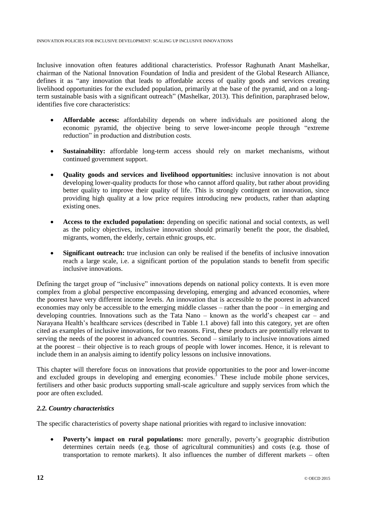Inclusive innovation often features additional characteristics. Professor Raghunath Anant Mashelkar, chairman of the National Innovation Foundation of India and president of the Global Research Alliance, defines it as "any innovation that leads to affordable access of quality goods and services creating livelihood opportunities for the excluded population, primarily at the base of the pyramid, and on a longterm sustainable basis with a significant outreach" (Mashelkar, 2013). This definition, paraphrased below, identifies five core characteristics:

- **Affordable access:** affordability depends on where individuals are positioned along the economic pyramid, the objective being to serve lower-income people through "extreme reduction" in production and distribution costs.
- **Sustainability:** affordable long-term access should rely on market mechanisms, without continued government support.
- **Quality goods and services and livelihood opportunities:** inclusive innovation is not about developing lower-quality products for those who cannot afford quality, but rather about providing better quality to improve their quality of life. This is strongly contingent on innovation, since providing high quality at a low price requires introducing new products, rather than adapting existing ones.
- **Access to the excluded population:** depending on specific national and social contexts, as well as the policy objectives, inclusive innovation should primarily benefit the poor, the disabled, migrants, women, the elderly, certain ethnic groups, etc.
- **Significant outreach:** true inclusion can only be realised if the benefits of inclusive innovation reach a large scale, i.e. a significant portion of the population stands to benefit from specific inclusive innovations.

Defining the target group of "inclusive" innovations depends on national policy contexts. It is even more complex from a global perspective encompassing developing, emerging and advanced economies, where the poorest have very different income levels. An innovation that is accessible to the poorest in advanced economies may only be accessible to the emerging middle classes – rather than the poor – in emerging and developing countries. Innovations such as the Tata Nano – known as the world's cheapest car – and Narayana Health's healthcare services (described in Table 1.1 above) fall into this category, yet are often cited as examples of inclusive innovations, for two reasons. First, these products are potentially relevant to serving the needs of the poorest in advanced countries. Second – similarly to inclusive innovations aimed at the poorest – their objective is to reach groups of people with lower incomes. Hence, it is relevant to include them in an analysis aiming to identify policy lessons on inclusive innovations.

This chapter will therefore focus on innovations that provide opportunities to the poor and lower-income and excluded groups in developing and emerging economies.<sup>3</sup> These include mobile phone services, fertilisers and other basic products supporting small-scale agriculture and supply services from which the poor are often excluded.

# *2.2. Country characteristics*

The specific characteristics of poverty shape national priorities with regard to inclusive innovation:

Poverty's impact on rural populations: more generally, poverty's geographic distribution determines certain needs (e.g. those of agricultural communities) and costs (e.g. those of transportation to remote markets). It also influences the number of different markets – often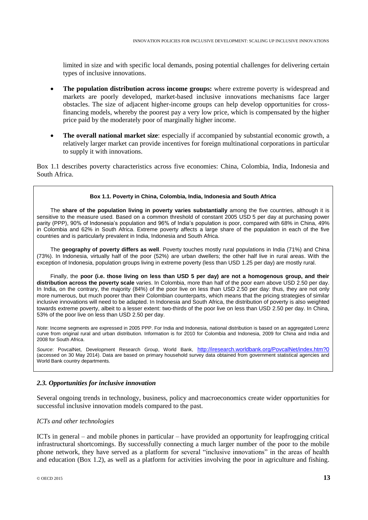limited in size and with specific local demands, posing potential challenges for delivering certain types of inclusive innovations.

- **The population distribution across income groups:** where extreme poverty is widespread and markets are poorly developed, market-based inclusive innovations mechanisms face larger obstacles. The size of adjacent higher-income groups can help develop opportunities for crossfinancing models, whereby the poorest pay a very low price, which is compensated by the higher price paid by the moderately poor of marginally higher income.
- **The overall national market size**: especially if accompanied by substantial economic growth, a relatively larger market can provide incentives for foreign multinational corporations in particular to supply it with innovations.

Box 1.1 describes poverty characteristics across five economies: China, Colombia, India, Indonesia and South Africa.

# **Box 1.1. Poverty in China, Colombia, India, Indonesia and South Africa**

The **share of the population living in poverty varies substantially** among the five countries, although it is sensitive to the measure used. Based on a common threshold of constant 2005 USD 5 per day at purchasing power parity (PPP), 90% of Indonesia's population and 96% of India's population is poor, compared with 68% in China, 49% in Colombia and 62% in South Africa. Extreme poverty affects a large share of the population in each of the five countries and is particularly prevalent in India, Indonesia and South Africa.

The **geography of poverty differs as well**. Poverty touches mostly rural populations in India (71%) and China (73%). In Indonesia, virtually half of the poor (52%) are urban dwellers; the other half live in rural areas. With the exception of Indonesia, population groups living in extreme poverty (less than USD 1.25 per day) are mostly rural.

Finally, the **poor (i.e. those living on less than USD 5 per day) are not a homogenous group, and their distribution across the poverty scale** varies. In Colombia, more than half of the poor earn above USD 2.50 per day. In India, on the contrary, the majority (84%) of the poor live on less than USD 2.50 per day: thus, they are not only more numerous, but much poorer than their Colombian counterparts, which means that the pricing strategies of similar inclusive innovations will need to be adapted. In Indonesia and South Africa, the distribution of poverty is also weighted towards extreme poverty, albeit to a lesser extent: two-thirds of the poor live on less than USD 2.50 per day. In China, 53% of the poor live on less than USD 2.50 per day.

*Note*: Income segments are expressed in 2005 PPP. For India and Indonesia, national distribution is based on an aggregated Lorenz curve from original rural and urban distribution. Information is for 2010 for Colombia and Indonesia, 2009 for China and India and 2008 for South Africa.

*Source*: PovcalNet, Development Research Group, World Bank, <http://iresearch.worldbank.org/PovcalNet/index.htm?0> (accessed on 30 May 2014). Data are based on primary household survey data obtained from government statistical agencies and World Bank country departments.

# *2.3. Opportunities for inclusive innovation*

Several ongoing trends in technology, business, policy and macroeconomics create wider opportunities for successful inclusive innovation models compared to the past.

# *ICTs and other technologies*

ICTs in general – and mobile phones in particular – have provided an opportunity for leapfrogging critical infrastructural shortcomings. By successfully connecting a much larger number of the poor to the mobile phone network, they have served as a platform for several "inclusive innovations" in the areas of health and education (Box 1.2), as well as a platform for activities involving the poor in agriculture and fishing.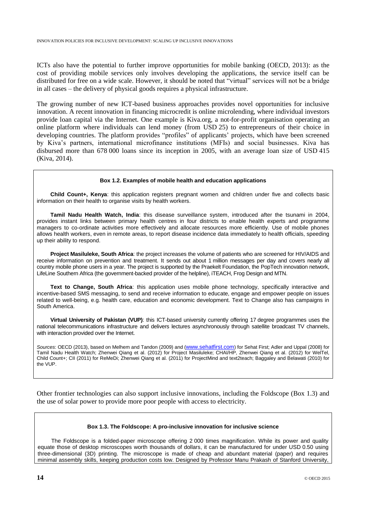ICTs also have the potential to further improve opportunities for mobile banking (OECD, 2013): as the cost of providing mobile services only involves developing the applications, the service itself can be distributed for free on a wide scale. However, it should be noted that "virtual" services will not be a bridge in all cases – the delivery of physical goods requires a physical infrastructure.

The growing number of new ICT-based business approaches provides novel opportunities for inclusive innovation. A recent innovation in financing microcredit is online microlending, where individual investors provide loan capital via the Internet. One example is Kiva.org, a not-for-profit organisation operating an online platform where individuals can lend money (from USD 25) to entrepreneurs of their choice in developing countries. The platform provides "profiles" of applicants' projects, which have been screened by Kiva's partners, international microfinance institutions (MFIs) and social businesses. Kiva has disbursed more than 678 000 loans since its inception in 2005, with an average loan size of USD 415 (Kiva, 2014).

#### **Box 1.2. Examples of mobile health and education applications**

**Child Count+, Kenya**: this application registers pregnant women and children under five and collects basic information on their health to organise visits by health workers.

**Tamil Nadu Health Watch, India**: this disease surveillance system, introduced after the tsunami in 2004, provides instant links between primary health centres in four districts to enable health experts and programme managers to co-ordinate activities more effectively and allocate resources more efficiently. Use of mobile phones allows health workers, even in remote areas, to report disease incidence data immediately to health officials, speeding up their ability to respond.

**Project Masiluleke, South Africa**: the project increases the volume of patients who are screened for HIV/AIDS and receive information on prevention and treatment. It sends out about 1 million messages per day and covers nearly all country mobile phone users in a year. The project is supported by the Praekelt Foundation, the PopTech innovation network, LifeLine Southern Africa (the government-backed provider of the helpline), iTEACH, Frog Design and MTN.

**Text to Change, South Africa**: this application uses mobile phone technology, specifically interactive and incentive-based SMS messaging, to send and receive information to educate, engage and empower people on issues related to well-being, e.g. health care, education and economic development. Text to Change also has campaigns in South America.

**Virtual University of Pakistan (VUP)**: this ICT-based university currently offering 17 degree programmes uses the national telecommunications infrastructure and delivers lectures asynchronously through satellite broadcast TV channels, with interaction provided over the Internet.

*Sources*: OECD (2013), based on Melhem and Tandon (2009) and ([www.sehatfirst.com](http://www.sehatfirst.com/)) for Sehat First; Adler and Uppal (2008) for Tamil Nadu Health Watch; Zhenwei Qiang et al. (2012) for Project Masiluleke; CHAI/HP, Zhenwei Qiang et al. (2012) for WelTel, Child Count+; CII (2011) for ReMeDi; Zhenwei Qiang et al. (2011) for ProjectMind and text2teach; Baggaley and Belawati (2010) for the VUP.

Other frontier technologies can also support inclusive innovations, including the Foldscope (Box 1.3) and the use of solar power to provide more poor people with access to electricity.

#### **Box 1.3. The Foldscope: A pro-inclusive innovation for inclusive science**

The Foldscope is a folded-paper microscope offering 2 000 times magnification. While its power and quality equate those of desktop microscopes worth thousands of dollars, it can be manufactured for under USD 0.50 using three-dimensional (3D) printing. The microscope is made of cheap and abundant material (paper) and requires minimal assembly skills, keeping production costs low. Designed by Professor Manu Prakash of Stanford University,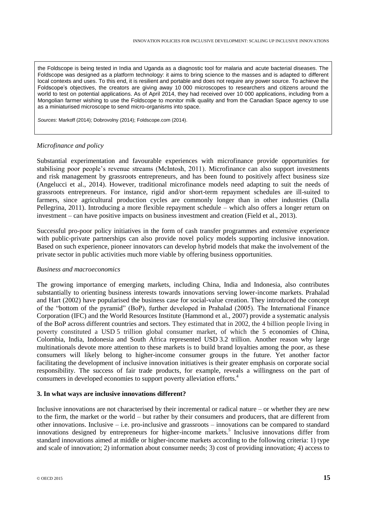the Foldscope is being tested in India and Uganda as a diagnostic tool for malaria and acute bacterial diseases. The Foldscope was designed as a platform technology: it aims to bring science to the masses and is adapted to different local contexts and uses. To this end, it is resilient and portable and does not require any power source. To achieve the Foldscope's objectives, the creators are giving away 10 000 microscopes to researchers and citizens around the world to test on potential applications. As of April 2014, they had received over 10 000 applications, including from a Mongolian farmer wishing to use the Foldscope to monitor milk quality and from the Canadian Space agency to use as a miniaturised microscope to send micro-organisms into space.

*Sources*: Markoff (2014); Dobrovolny (2014); Foldscope.com (2014).

# *Microfinance and policy*

Substantial experimentation and favourable experiences with microfinance provide opportunities for stabilising poor people's revenue streams (McIntosh, 2011). Microfinance can also support investments and risk management by grassroots entrepreneurs, and has been found to positively affect business size (Angelucci et al., 2014). However, traditional microfinance models need adapting to suit the needs of grassroots entrepreneurs. For instance, rigid and/or short-term repayment schedules are ill-suited to farmers, since agricultural production cycles are commonly longer than in other industries (Dalla Pellegrina, 2011). Introducing a more flexible repayment schedule – which also offers a longer return on investment – can have positive impacts on business investment and creation (Field et al., 2013).

Successful pro-poor policy initiatives in the form of cash transfer programmes and extensive experience with public-private partnerships can also provide novel policy models supporting inclusive innovation. Based on such experience, pioneer innovators can develop hybrid models that make the involvement of the private sector in public activities much more viable by offering business opportunities.

#### *Business and macroeconomics*

The growing importance of emerging markets, including China, India and Indonesia, also contributes substantially to orienting business interests towards innovations serving lower-income markets. Prahalad and Hart (2002) have popularised the business case for social-value creation. They introduced the concept of the "bottom of the pyramid" (BoP), further developed in Prahalad (2005). The International Finance Corporation (IFC) and the World Resources Institute (Hammond et al., 2007) provide a systematic analysis of the BoP across different countries and sectors. They estimated that in 2002, the 4 billion people living in poverty constituted a USD 5 trillion global consumer market, of which the 5 economies of China, Colombia, India, Indonesia and South Africa represented USD 3.2 trillion. Another reason why large multinationals devote more attention to these markets is to build brand loyalties among the poor, as these consumers will likely belong to higher-income consumer groups in the future. Yet another factor facilitating the development of inclusive innovation initiatives is their greater emphasis on corporate social responsibility. The success of fair trade products, for example, reveals a willingness on the part of consumers in developed economies to support poverty alleviation efforts. 4

#### **3. In what ways are inclusive innovations different?**

Inclusive innovations are not characterised by their incremental or radical nature – or whether they are new to the firm, the market or the world – but rather by their consumers and producers, that are different from other innovations. Inclusive – i.e. pro-inclusive and grassroots – innovations can be compared to standard innovations designed by entrepreneurs for higher-income markets.<sup>5</sup> Inclusive innovations differ from standard innovations aimed at middle or higher-income markets according to the following criteria: 1) type and scale of innovation; 2) information about consumer needs; 3) cost of providing innovation; 4) access to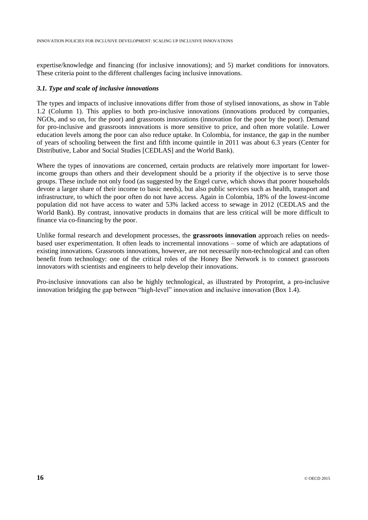expertise/knowledge and financing (for inclusive innovations); and 5) market conditions for innovators. These criteria point to the different challenges facing inclusive innovations.

# *3.1. Type and scale of inclusive innovations*

The types and impacts of inclusive innovations differ from those of stylised innovations, as show in Table 1.2 (Column 1). This applies to both pro-inclusive innovations (innovations produced by companies, NGOs, and so on, for the poor) and grassroots innovations (innovation for the poor by the poor). Demand for pro-inclusive and grassroots innovations is more sensitive to price, and often more volatile. Lower education levels among the poor can also reduce uptake. In Colombia, for instance, the gap in the number of years of schooling between the first and fifth income quintile in 2011 was about 6.3 years (Center for Distributive, Labor and Social Studies [CEDLAS] and the World Bank).

Where the types of innovations are concerned, certain products are relatively more important for lowerincome groups than others and their development should be a priority if the objective is to serve those groups. These include not only food (as suggested by the Engel curve, which shows that poorer households devote a larger share of their income to basic needs), but also public services such as health, transport and infrastructure, to which the poor often do not have access. Again in Colombia, 18% of the lowest-income population did not have access to water and 53% lacked access to sewage in 2012 (CEDLAS and the World Bank). By contrast, innovative products in domains that are less critical will be more difficult to finance via co-financing by the poor.

Unlike formal research and development processes, the **grassroots innovation** approach relies on needsbased user experimentation. It often leads to incremental innovations – some of which are adaptations of existing innovations. Grassroots innovations, however, are not necessarily non-technological and can often benefit from technology: one of the critical roles of the Honey Bee Network is to connect grassroots innovators with scientists and engineers to help develop their innovations.

Pro-inclusive innovations can also be highly technological, as illustrated by Protoprint, a pro-inclusive innovation bridging the gap between "high-level" innovation and inclusive innovation (Box 1.4).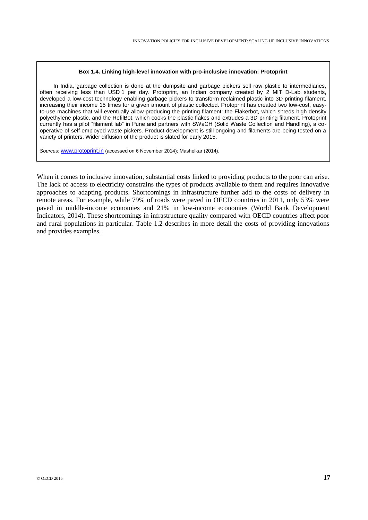#### **Box 1.4. Linking high-level innovation with pro-inclusive innovation: Protoprint**

In India, garbage collection is done at the dumpsite and garbage pickers sell raw plastic to intermediaries, often receiving less than USD 1 per day. Protoprint, an Indian company created by 2 MIT D-Lab students, developed a low-cost technology enabling garbage pickers to transform reclaimed plastic into 3D printing filament, increasing their income 15 times for a given amount of plastic collected. Protoprint has created two low-cost, easyto-use machines that will eventually allow producing the printing filament: the Flakerbot, which shreds high density polyethylene plastic, and the RefilBot, which cooks the plastic flakes and extrudes a 3D printing filament. Protoprint currently has a pilot "filament lab" in Pune and partners with SWaCH (Solid Waste Collection and Handling), a cooperative of self-employed waste pickers. Product development is still ongoing and filaments are being tested on a variety of printers. Wider diffusion of the product is slated for early 2015.

*Sources*: [www.protoprint.in](http://www.protoprint.in/) (accessed on 6 November 2014); Mashelkar (2014).

When it comes to inclusive innovation, substantial costs linked to providing products to the poor can arise. The lack of access to electricity constrains the types of products available to them and requires innovative approaches to adapting products. Shortcomings in infrastructure further add to the costs of delivery in remote areas. For example, while 79% of roads were paved in OECD countries in 2011, only 53% were paved in middle-income economies and 21% in low-income economies (World Bank Development Indicators, 2014). These shortcomings in infrastructure quality compared with OECD countries affect poor and rural populations in particular. Table 1.2 describes in more detail the costs of providing innovations and provides examples.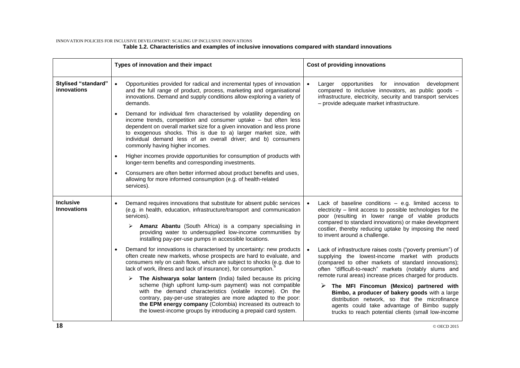#### INNOVATION POLICIES FOR INCLUSIVE DEVELOPMENT: SCALING UP INCLUSIVE INNOVATIONS **Table 1.2. Characteristics and examples of inclusive innovations compared with standard innovations**

|                                           | Types of innovation and their impact                                                                                                                                                                                                                                                                                                                                                                                                                                                                                                                                                                                                                                                                                  | Cost of providing innovations                                                                                                                                                                                                                                                                                                                                                                                                                                                                                                                           |
|-------------------------------------------|-----------------------------------------------------------------------------------------------------------------------------------------------------------------------------------------------------------------------------------------------------------------------------------------------------------------------------------------------------------------------------------------------------------------------------------------------------------------------------------------------------------------------------------------------------------------------------------------------------------------------------------------------------------------------------------------------------------------------|---------------------------------------------------------------------------------------------------------------------------------------------------------------------------------------------------------------------------------------------------------------------------------------------------------------------------------------------------------------------------------------------------------------------------------------------------------------------------------------------------------------------------------------------------------|
| <b>Stylised "standard"</b><br>innovations | Opportunities provided for radical and incremental types of innovation<br>$\bullet$<br>and the full range of product, process, marketing and organisational<br>innovations. Demand and supply conditions allow exploring a variety of<br>demands.                                                                                                                                                                                                                                                                                                                                                                                                                                                                     | Larger opportunities for innovation development<br>compared to inclusive innovators, as public goods -<br>infrastructure, electricity, security and transport services<br>- provide adequate market infrastructure.                                                                                                                                                                                                                                                                                                                                     |
|                                           | Demand for individual firm characterised by volatility depending on<br>income trends, competition and consumer uptake - but often less<br>dependent on overall market size for a given innovation and less prone<br>to exogenous shocks. This is due to a) larger market size, with<br>individual demand less of an overall driver; and b) consumers<br>commonly having higher incomes.                                                                                                                                                                                                                                                                                                                               |                                                                                                                                                                                                                                                                                                                                                                                                                                                                                                                                                         |
|                                           | Higher incomes provide opportunities for consumption of products with<br>$\bullet$<br>longer-term benefits and corresponding investments.                                                                                                                                                                                                                                                                                                                                                                                                                                                                                                                                                                             |                                                                                                                                                                                                                                                                                                                                                                                                                                                                                                                                                         |
|                                           | Consumers are often better informed about product benefits and uses,<br>$\bullet$<br>allowing for more informed consumption (e.g. of health-related<br>services).                                                                                                                                                                                                                                                                                                                                                                                                                                                                                                                                                     |                                                                                                                                                                                                                                                                                                                                                                                                                                                                                                                                                         |
| <b>Inclusive</b><br><b>Innovations</b>    | Demand requires innovations that substitute for absent public services<br>(e.g. in health, education, infrastructure/transport and communication<br>services).<br>> Amanz Abantu (South Africa) is a company specialising in<br>providing water to undersupplied low-income communities by<br>installing pay-per-use pumps in accessible locations.                                                                                                                                                                                                                                                                                                                                                                   | Lack of baseline conditions $-$ e.g. limited access to<br>electricity - limit access to possible technologies for the<br>poor (resulting in lower range of viable products<br>compared to standard innovations) or make development<br>costlier, thereby reducing uptake by imposing the need<br>to invent around a challenge.                                                                                                                                                                                                                          |
|                                           | Demand for innovations is characterised by uncertainty: new products<br>$\bullet$<br>often create new markets, whose prospects are hard to evaluate, and<br>consumers rely on cash flows, which are subject to shocks (e.g. due to<br>lack of work, illness and lack of insurance), for consumption. <sup>6</sup><br>The Aishwarya solar lantern (India) failed because its pricing<br>➤<br>scheme (high upfront lump-sum payment) was not compatible<br>with the demand characteristics (volatile income). On the<br>contrary, pay-per-use strategies are more adapted to the poor:<br>the EPM energy company (Colombia) increased its outreach to<br>the lowest-income groups by introducing a prepaid card system. | Lack of infrastructure raises costs ("poverty premium") of<br>supplying the lowest-income market with products<br>(compared to other markets of standard innovations);<br>often "difficult-to-reach" markets (notably slums and<br>remote rural areas) increase prices charged for products.<br>The MFI Fincomun (Mexico) partnered with<br>➤<br>Bimbo, a producer of bakery goods with a large<br>distribution network, so that the microfinance<br>agents could take advantage of Bimbo supply<br>trucks to reach potential clients (small low-income |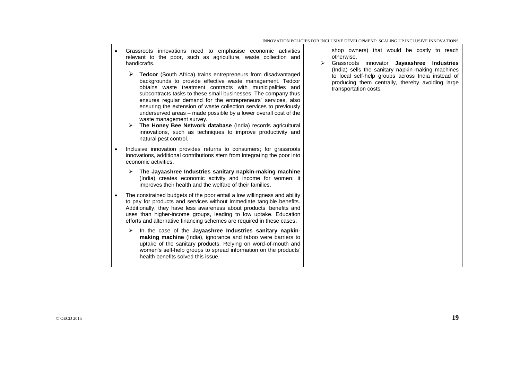|  | $\bullet$ | Grassroots innovations need to emphasise economic activities<br>relevant to the poor, such as agriculture, waste collection and<br>handicrafts.<br><b>Tedcor</b> (South Africa) trains entrepreneurs from disadvantaged<br>backgrounds to provide effective waste management. Tedcor<br>obtains waste treatment contracts with municipalities and<br>subcontracts tasks to these small businesses. The company thus<br>ensures regular demand for the entrepreneurs' services, also<br>ensuring the extension of waste collection services to previously<br>underserved areas – made possible by a lower overall cost of the<br>waste management survey.<br>The Honey Bee Network database (India) records agricultural<br>⋗<br>innovations, such as techniques to improve productivity and<br>natural pest control. | shop owners) that would be costly to reach<br>otherwise.<br>Grassroots innovator Jayaashree Industries<br>(India) sells the sanitary napkin-making machines<br>to local self-help groups across India instead of<br>producing them centrally, thereby avoiding large<br>transportation costs. |
|--|-----------|----------------------------------------------------------------------------------------------------------------------------------------------------------------------------------------------------------------------------------------------------------------------------------------------------------------------------------------------------------------------------------------------------------------------------------------------------------------------------------------------------------------------------------------------------------------------------------------------------------------------------------------------------------------------------------------------------------------------------------------------------------------------------------------------------------------------|-----------------------------------------------------------------------------------------------------------------------------------------------------------------------------------------------------------------------------------------------------------------------------------------------|
|  | $\bullet$ | Inclusive innovation provides returns to consumers; for grassroots<br>innovations, additional contributions stem from integrating the poor into<br>economic activities.                                                                                                                                                                                                                                                                                                                                                                                                                                                                                                                                                                                                                                              |                                                                                                                                                                                                                                                                                               |
|  |           | The Jayaashree Industries sanitary napkin-making machine<br>(India) creates economic activity and income for women; it<br>improves their health and the welfare of their families.                                                                                                                                                                                                                                                                                                                                                                                                                                                                                                                                                                                                                                   |                                                                                                                                                                                                                                                                                               |
|  | $\bullet$ | The constrained budgets of the poor entail a low willingness and ability<br>to pay for products and services without immediate tangible benefits.<br>Additionally, they have less awareness about products' benefits and<br>uses than higher-income groups, leading to low uptake. Education<br>efforts and alternative financing schemes are required in these cases.                                                                                                                                                                                                                                                                                                                                                                                                                                               |                                                                                                                                                                                                                                                                                               |
|  |           | In the case of the Jayaashree Industries sanitary napkin-<br>➤<br>making machine (India), ignorance and taboo were barriers to<br>uptake of the sanitary products. Relying on word-of-mouth and<br>women's self-help groups to spread information on the products'<br>health benefits solved this issue.                                                                                                                                                                                                                                                                                                                                                                                                                                                                                                             |                                                                                                                                                                                                                                                                                               |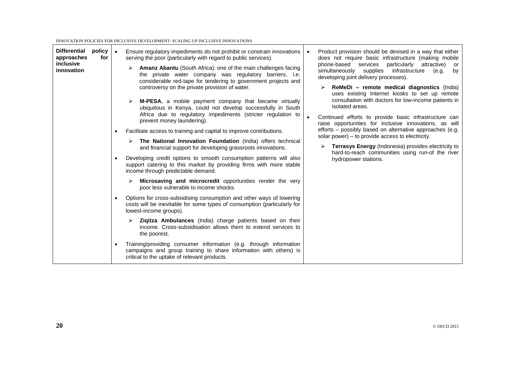| <b>Differential</b><br>policy<br>approaches<br>for<br>inclusive<br>innovation | $\bullet$ | Ensure regulatory impediments do not prohibit or constrain innovations<br>serving the poor (particularly with regard to public services).<br><b>Amanz Abantu</b> (South Africa): one of the main challenges facing<br>the private water company was regulatory barriers, i.e.<br>considerable red-tape for tendering to government projects and<br>controversy on the private provision of water.<br>M-PESA, a mobile payment company that became virtually<br>ubiquitous in Kenya, could not develop successfully in South<br>Africa due to regulatory impediments (stricter regulation to<br>prevent money laundering).<br>Facilitate access to training and capital to improve contributions.<br>The National Innovation Foundation (India) offers technical<br>and financial support for developing grassroots innovations.<br>Developing credit options to smooth consumption patterns will also<br>support catering to this market by providing firms with more stable<br>income through predictable demand.<br>Microsaving and microcredit opportunities render the very<br>poor less vulnerable to income shocks.<br>Options for cross-subsidising consumption and other ways of lowering<br>costs will be inevitable for some types of consumption (particularly for<br>lowest-income groups).<br><b>Zigitza Ambulances</b> (India) charge patients based on their<br>income. Cross-subsidisation allows them to extend services to<br>the poorest. | Product provision should be devised in a way that either<br>does not require basic infrastructure (making mobile<br>phone-based services particularly attractive)<br>or<br>simultaneously supplies infrastructure<br>(e.g.<br>by<br>developing joint delivery processes).<br>ReMeDi - remote medical diagnostics (India)<br>uses existing Internet kiosks to set up remote<br>consultation with doctors for low-income patients in<br>isolated areas.<br>Continued efforts to provide basic infrastructure can<br>raise opportunities for inclusive innovations, as will<br>efforts – possibly based on alternative approaches (e.g.<br>solar power) – to provide access to electricity.<br><b>Terrasys Energy (Indonesia) provides electricity to</b><br>➤<br>hard-to-reach communities using run-of the river<br>hydropower stations. |
|-------------------------------------------------------------------------------|-----------|--------------------------------------------------------------------------------------------------------------------------------------------------------------------------------------------------------------------------------------------------------------------------------------------------------------------------------------------------------------------------------------------------------------------------------------------------------------------------------------------------------------------------------------------------------------------------------------------------------------------------------------------------------------------------------------------------------------------------------------------------------------------------------------------------------------------------------------------------------------------------------------------------------------------------------------------------------------------------------------------------------------------------------------------------------------------------------------------------------------------------------------------------------------------------------------------------------------------------------------------------------------------------------------------------------------------------------------------------------------------------------------------------------------------------------------------------------------|-----------------------------------------------------------------------------------------------------------------------------------------------------------------------------------------------------------------------------------------------------------------------------------------------------------------------------------------------------------------------------------------------------------------------------------------------------------------------------------------------------------------------------------------------------------------------------------------------------------------------------------------------------------------------------------------------------------------------------------------------------------------------------------------------------------------------------------------|
|                                                                               |           | Training/providing consumer information (e.g. through information<br>campaigns and group training to share information with others) is<br>critical to the uptake of relevant products.                                                                                                                                                                                                                                                                                                                                                                                                                                                                                                                                                                                                                                                                                                                                                                                                                                                                                                                                                                                                                                                                                                                                                                                                                                                                       |                                                                                                                                                                                                                                                                                                                                                                                                                                                                                                                                                                                                                                                                                                                                                                                                                                         |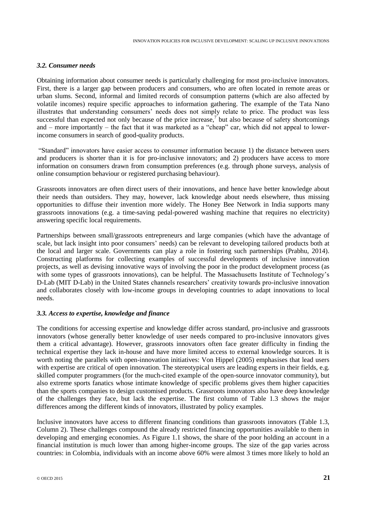# *3.2. Consumer needs*

Obtaining information about consumer needs is particularly challenging for most pro-inclusive innovators. First, there is a larger gap between producers and consumers, who are often located in remote areas or urban slums. Second, informal and limited records of consumption patterns (which are also affected by volatile incomes) require specific approaches to information gathering. The example of the Tata Nano illustrates that understanding consumers' needs does not simply relate to price. The product was less successful than expected not only because of the price increase, $\bar{i}$  but also because of safety shortcomings and – more importantly – the fact that it was marketed as a "cheap" car, which did not appeal to lowerincome consumers in search of good-quality products.

"Standard" innovators have easier access to consumer information because 1) the distance between users and producers is shorter than it is for pro-inclusive innovators; and 2) producers have access to more information on consumers drawn from consumption preferences (e.g. through phone surveys, analysis of online consumption behaviour or registered purchasing behaviour).

Grassroots innovators are often direct users of their innovations, and hence have better knowledge about their needs than outsiders. They may, however, lack knowledge about needs elsewhere, thus missing opportunities to diffuse their invention more widely. The Honey Bee Network in India supports many grassroots innovations (e.g. a time-saving pedal-powered washing machine that requires no electricity) answering specific local requirements.

Partnerships between small/grassroots entrepreneurs and large companies (which have the advantage of scale, but lack insight into poor consumers' needs) can be relevant to developing tailored products both at the local and larger scale. Governments can play a role in fostering such partnerships (Prabhu, 2014). Constructing platforms for collecting examples of successful developments of inclusive innovation projects, as well as devising innovative ways of involving the poor in the product development process (as with some types of grassroots innovations), can be helpful. The Massachusetts Institute of Technology's D-Lab (MIT D-Lab) in the United States channels researchers' creativity towards pro-inclusive innovation and collaborates closely with low-income groups in developing countries to adapt innovations to local needs.

# *3.3. Access to expertise, knowledge and finance*

The conditions for accessing expertise and knowledge differ across standard, pro-inclusive and grassroots innovators (whose generally better knowledge of user needs compared to pro-inclusive innovators gives them a critical advantage). However, grassroots innovators often face greater difficulty in finding the technical expertise they lack in-house and have more limited access to external knowledge sources. It is worth noting the parallels with open-innovation initiatives: Von Hippel (2005) emphasises that lead users with expertise are critical of open innovation. The stereotypical users are leading experts in their fields, e.g. skilled computer programmers (for the much-cited example of the open-source innovator community), but also extreme sports fanatics whose intimate knowledge of specific problems gives them higher capacities than the sports companies to design customised products. Grassroots innovators also have deep knowledge of the challenges they face, but lack the expertise. The first column of Table 1.3 shows the major differences among the different kinds of innovators, illustrated by policy examples.

Inclusive innovators have access to different financing conditions than grassroots innovators (Table 1.3, Column 2). These challenges compound the already restricted financing opportunities available to them in developing and emerging economies. As Figure 1.1 shows, the share of the poor holding an account in a financial institution is much lower than among higher-income groups. The size of the gap varies across countries: in Colombia, individuals with an income above 60% were almost 3 times more likely to hold an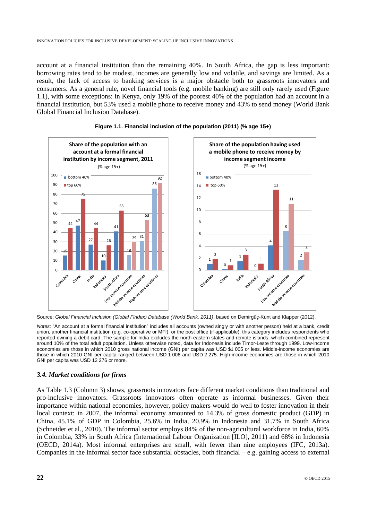account at a financial institution than the remaining 40%. In South Africa, the gap is less important: borrowing rates tend to be modest, incomes are generally low and volatile, and savings are limited. As a result, the lack of access to banking services is a major obstacle both to grassroots innovators and consumers. As a general rule, novel financial tools (e.g. mobile banking) are still only rarely used (Figure 1.1), with some exceptions: in Kenya, only 19% of the poorest 40% of the population had an account in a financial institution, but 53% used a mobile phone to receive money and 43% to send money (World Bank Global Financial Inclusion Database).





Source: *Global Financial Inclusion (Global Findex) Database (World Bank, 2011)*, based on Demirgüç-Kunt and Klapper (2012).

*Notes:* "An account at a formal financial institution" includes all accounts (owned singly or with another person) held at a bank, credit union, another financial institution (e.g. co-operative or MFI), or the post office (if applicable); this category includes respondents who reported owning a debit card. The sample for India excludes the north-eastern states and remote islands, which combined represent around 10% of the total adult population. Unless otherwise noted, data for Indonesia include Timor-Leste through 1999. Low-income economies are those in which 2010 gross national income (GNI) per capita was USD \$1 005 or less. Middle-income economies are those in which 2010 GNI per capita ranged between USD 1 006 and USD 2 275. High-income economies are those in which 2010 GNI per capita was USD 12 276 or more.

# *3.4. Market conditions for firms*

As Table 1.3 (Column 3) shows, grassroots innovators face different market conditions than traditional and pro-inclusive innovators. Grassroots innovators often operate as informal businesses. Given their importance within national economies, however, policy makers would do well to foster innovation in their local context: in 2007, the informal economy amounted to 14.3% of gross domestic product (GDP) in China, 45.1% of GDP in Colombia, 25.6% in India, 20.9% in Indonesia and 31.7% in South Africa (Schneider et al., 2010). The informal sector employs 84% of the non-agricultural workforce in India, 60% in Colombia, 33% in South Africa (International Labour Organization [ILO], 2011) and 68% in Indonesia (OECD, 2014a). Most informal enterprises are small, with fewer than nine employees (IFC, 2013a). Companies in the informal sector face substantial obstacles, both financial – e.g. gaining access to external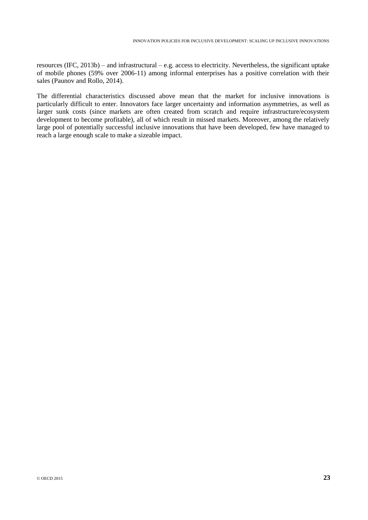resources (IFC, 2013b) – and infrastructural – e.g. access to electricity. Nevertheless, the significant uptake of mobile phones (59% over 2006-11) among informal enterprises has a positive correlation with their sales (Paunov and Rollo, 2014).

The differential characteristics discussed above mean that the market for inclusive innovations is particularly difficult to enter. Innovators face larger uncertainty and information asymmetries, as well as larger sunk costs (since markets are often created from scratch and require infrastructure/ecosystem development to become profitable), all of which result in missed markets. Moreover, among the relatively large pool of potentially successful inclusive innovations that have been developed, few have managed to reach a large enough scale to make a sizeable impact.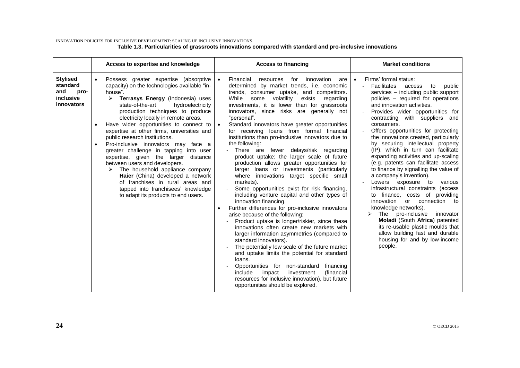**Table 1.3. Particularities of grassroots innovations compared with standard and pro-inclusive innovations**

|                                                                       | Access to expertise and knowledge                                                                                                                                                                                                                                                                                                                                                                                                                                                                                                                                                                                                                                                                                                                                  | <b>Access to financing</b>                                                                                                                                                                                                                                                                                                                                                                                                                                                                                                                                                                                                                                                                                                                                                                                                                                                                                                                                                                                                                                                                                                                                                                                                                                                                                                                                                                                                                                        | <b>Market conditions</b>                                                                                                                                                                                                                                                                                                                                                                                                                                                                                                                                                                                                                                                                                                                                                                                                                                                                                                                         |
|-----------------------------------------------------------------------|--------------------------------------------------------------------------------------------------------------------------------------------------------------------------------------------------------------------------------------------------------------------------------------------------------------------------------------------------------------------------------------------------------------------------------------------------------------------------------------------------------------------------------------------------------------------------------------------------------------------------------------------------------------------------------------------------------------------------------------------------------------------|-------------------------------------------------------------------------------------------------------------------------------------------------------------------------------------------------------------------------------------------------------------------------------------------------------------------------------------------------------------------------------------------------------------------------------------------------------------------------------------------------------------------------------------------------------------------------------------------------------------------------------------------------------------------------------------------------------------------------------------------------------------------------------------------------------------------------------------------------------------------------------------------------------------------------------------------------------------------------------------------------------------------------------------------------------------------------------------------------------------------------------------------------------------------------------------------------------------------------------------------------------------------------------------------------------------------------------------------------------------------------------------------------------------------------------------------------------------------|--------------------------------------------------------------------------------------------------------------------------------------------------------------------------------------------------------------------------------------------------------------------------------------------------------------------------------------------------------------------------------------------------------------------------------------------------------------------------------------------------------------------------------------------------------------------------------------------------------------------------------------------------------------------------------------------------------------------------------------------------------------------------------------------------------------------------------------------------------------------------------------------------------------------------------------------------|
| <b>Stylised</b><br>standard<br>and<br>pro-<br>inclusive<br>innovators | Possess greater expertise (absorptive<br>$\bullet$<br>capacity) on the technologies available "in-<br>house".<br>$\triangleright$ Terrasys Energy (Indonesia) uses<br>state-of-the-art<br>hydroelectricity<br>production techniques to produce<br>electricity locally in remote areas.<br>Have wider opportunities to connect to<br>expertise at other firms, universities and<br>public research institutions.<br>Pro-inclusive innovators may face a<br>greater challenge in tapping into user<br>expertise, given the larger distance<br>between users and developers.<br>The household appliance company<br>Haier (China) developed a network<br>of franchises in rural areas and<br>tapped into franchisees' knowledge<br>to adapt its products to end users. | Financial<br>innovation<br>resources<br>for<br>$\bullet$<br>are<br>determined by market trends, i.e. economic<br>trends, consumer uptake, and competitors.<br>While<br>volatility<br>exists<br>regarding<br>some<br>investments, it is lower than for grassroots<br>innovators, since risks are generally not<br>"personal".<br>Standard innovators have greater opportunities<br>$\bullet$<br>for receiving loans from formal financial<br>institutions than pro-inclusive innovators due to<br>the following:<br>There are fewer delays/risk regarding<br>product uptake; the larger scale of future<br>production allows greater opportunities for<br>larger loans or investments (particularly<br>where innovations target specific small<br>markets).<br>Some opportunities exist for risk financing,<br>including venture capital and other types of<br>innovation financing.<br>Further differences for pro-inclusive innovators<br>$\bullet$<br>arise because of the following:<br>Product uptake is longer/riskier, since these<br>innovations often create new markets with<br>larger information asymmetries (compared to<br>standard innovators).<br>The potentially low scale of the future market<br>and uptake limits the potential for standard<br>loans.<br>Opportunities for non-standard<br>financing<br>(financial<br>include<br>impact<br>investment<br>resources for inclusive innovation), but future<br>opportunities should be explored. | Firms' formal status:<br>$\bullet$<br>Facilitates<br>public<br>to<br>access<br>services - including public support<br>policies - required for operations<br>and innovation activities.<br>Provides wider opportunities for<br>contracting with suppliers and<br>consumers.<br>Offers opportunities for protecting<br>the innovations created, particularly<br>by securing intellectual property<br>(IP), which in turn can facilitate<br>expanding activities and up-scaling<br>(e.g. patents can facilitate access<br>to finance by signalling the value of<br>a company's invention).<br>Lowers exposure to various<br>infrastructural constraints (access<br>to finance, costs of providing<br>innovation or connection<br>to<br>knowledge networks).<br>The pro-inclusive<br>innovator<br>Moladi (South Africa) patented<br>its re-usable plastic moulds that<br>allow building fast and durable<br>housing for and by low-income<br>people. |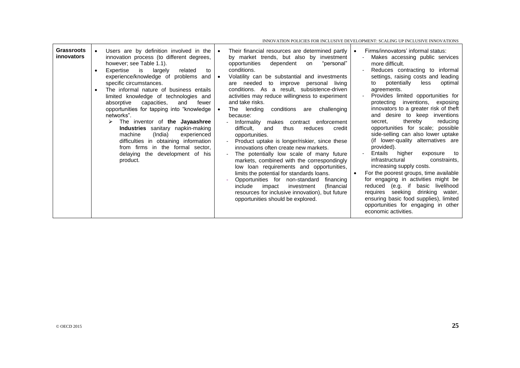| <b>Grassroots</b><br>innovators | Users are by definition involved in the<br>$\bullet$<br>innovation process (to different degrees,<br>however; see Table 1.1).<br>Expertise is largely<br>related<br>to<br>experience/knowledge of problems and<br>specific circumstances.<br>The informal nature of business entails<br>limited knowledge of technologies and<br>absorptive<br>capacities,<br>and<br>fewer<br>opportunities for tapping into "knowledge<br>networks".<br>The inventor of the Jayaashree<br>$\triangleright$<br>Industries sanitary napkin-making<br>(India)<br>machine<br>experienced<br>difficulties in obtaining information<br>from firms in the formal sector,<br>delaying the development of his<br>product. | Their financial resources are determined partly<br>$\bullet$<br>by market trends, but also by investment<br>opportunities<br>dependent<br>"personal"<br>on<br>conditions.<br>Volatility can be substantial and investments<br>$\bullet$<br>are needed to improve personal living<br>conditions. As a result, subsistence-driven<br>activities may reduce willingness to experiment<br>and take risks.<br>The lending<br>conditions are challenging<br>$\bullet$<br>because:<br>Informality makes contract enforcement<br>difficult,<br>thus<br>reduces<br>and<br>credit<br>opportunities.<br>Product uptake is longer/riskier, since these<br>innovations often create new markets.<br>The potentially low scale of many future<br>markets, combined with the correspondingly<br>low loan requirements and opportunities,<br>limits the potential for standards loans.<br>Opportunities for non-standard<br>financing<br>(financial<br>include<br>investment<br>impact<br>resources for inclusive innovation), but future<br>opportunities should be explored. | Firms/innovators' informal status:<br>Makes accessing public services<br>more difficult.<br>Reduces contracting to informal<br>settings, raising costs and leading<br>potentially<br>less<br>optimal<br>to<br>agreements.<br>Provides limited opportunities for<br>protecting inventions, exposing<br>innovators to a greater risk of theft<br>and desire to keep inventions<br>thereby<br>reducing<br>secret,<br>opportunities for scale; possible<br>side-selling can also lower uptake<br>(if lower-quality alternatives are<br>provided).<br>Entails higher<br>exposure<br>to<br>infrastructural<br>constraints,<br>increasing supply costs.<br>For the poorest groups, time available<br>$\bullet$<br>for engaging in activities might be<br>reduced (e.g. if basic livelihood<br>requires seeking drinking water,<br>ensuring basic food supplies), limited<br>opportunities for engaging in other<br>economic activities. |
|---------------------------------|---------------------------------------------------------------------------------------------------------------------------------------------------------------------------------------------------------------------------------------------------------------------------------------------------------------------------------------------------------------------------------------------------------------------------------------------------------------------------------------------------------------------------------------------------------------------------------------------------------------------------------------------------------------------------------------------------|----------------------------------------------------------------------------------------------------------------------------------------------------------------------------------------------------------------------------------------------------------------------------------------------------------------------------------------------------------------------------------------------------------------------------------------------------------------------------------------------------------------------------------------------------------------------------------------------------------------------------------------------------------------------------------------------------------------------------------------------------------------------------------------------------------------------------------------------------------------------------------------------------------------------------------------------------------------------------------------------------------------------------------------------------------------|----------------------------------------------------------------------------------------------------------------------------------------------------------------------------------------------------------------------------------------------------------------------------------------------------------------------------------------------------------------------------------------------------------------------------------------------------------------------------------------------------------------------------------------------------------------------------------------------------------------------------------------------------------------------------------------------------------------------------------------------------------------------------------------------------------------------------------------------------------------------------------------------------------------------------------|
|---------------------------------|---------------------------------------------------------------------------------------------------------------------------------------------------------------------------------------------------------------------------------------------------------------------------------------------------------------------------------------------------------------------------------------------------------------------------------------------------------------------------------------------------------------------------------------------------------------------------------------------------------------------------------------------------------------------------------------------------|----------------------------------------------------------------------------------------------------------------------------------------------------------------------------------------------------------------------------------------------------------------------------------------------------------------------------------------------------------------------------------------------------------------------------------------------------------------------------------------------------------------------------------------------------------------------------------------------------------------------------------------------------------------------------------------------------------------------------------------------------------------------------------------------------------------------------------------------------------------------------------------------------------------------------------------------------------------------------------------------------------------------------------------------------------------|----------------------------------------------------------------------------------------------------------------------------------------------------------------------------------------------------------------------------------------------------------------------------------------------------------------------------------------------------------------------------------------------------------------------------------------------------------------------------------------------------------------------------------------------------------------------------------------------------------------------------------------------------------------------------------------------------------------------------------------------------------------------------------------------------------------------------------------------------------------------------------------------------------------------------------|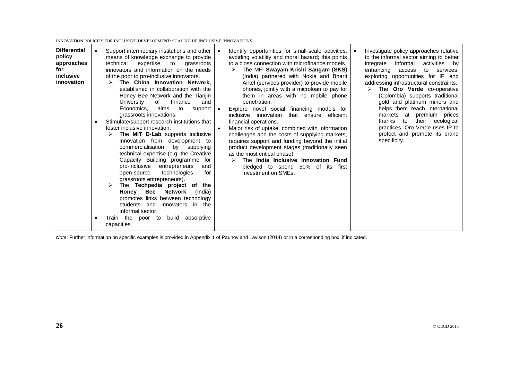| <b>Differential</b><br>policy<br>approaches<br>for<br><i>inclusive</i><br><b>innovation</b> | Support intermediary institutions and other<br>$\bullet$<br>means of knowledge exchange to provide<br>expertise to grassroots<br>technical<br>innovators and information on the needs<br>of the poor to pro-inclusive innovators.<br>The China Innovation Network.<br>➤<br>established in collaboration with the<br>Honey Bee Network and the Tianjin<br>University<br>Finance<br>of<br>and<br>to<br>Economics,<br>aims<br>support<br>grassroots innovations.<br>Stimulate/support research institutions that<br>foster inclusive innovation.<br>The MIT D-Lab supports inclusive<br>innovation from development to<br>commercialisation<br>by supplying<br>technical expertise (e.g. the Creative<br>Capacity Building programme<br>for<br>pro-inclusive<br>entrepreneurs<br>and<br>technologies<br>open-source<br>for<br>grassroots entrepreneurs).<br>The Techpedia project of the<br>➤<br>Bee<br>Network<br>Honey<br>(India)<br>promotes links between technology<br>students and<br>innovators in the<br>informal sector.<br>Train the<br>build<br>poor to<br>absorptive<br>capacities. | Identify opportunities for small-scale activities,<br>avoiding volatility and moral hazard; this points<br>to a close connection with microfinance models.<br>The MFI Swayam Krishi Sangam (SKS)<br>(India) partnered with Nokia and Bharti<br>Airtel (services provider) to provide mobile<br>phones, jointly with a microloan to pay for<br>them in areas with no mobile phone<br>penetration.<br>Explore novel social financing models for<br>∣ •<br>efficient<br>innovation<br>that ensure<br>inclusive<br>financial operations.<br>Major risk of uptake, combined with information<br>$\bullet$<br>challenges and the costs of supplying markets,<br>requires support and funding beyond the initial<br>product development stages (traditionally seen<br>as the most critical phase).<br>The India Inclusive Innovation Fund<br>➤<br>pledged to spend 50% of its first<br>investment on SMEs. | Investigate policy approaches relative<br>to the informal sector aiming to better<br>informal<br>integrate<br>activities<br>by<br>enhancing<br>services.<br>to<br>access<br>exploring opportunities for IP and<br>addressing infrastructural constraints.<br>The Oro Verde co-operative<br>(Colombia) supports traditional<br>gold and platinum miners and<br>helps them reach international<br>markets at premium prices<br>their<br>thanks<br>to<br>ecological<br>practices. Oro Verde uses IP to<br>protect and promote its brand<br>specificity. |
|---------------------------------------------------------------------------------------------|----------------------------------------------------------------------------------------------------------------------------------------------------------------------------------------------------------------------------------------------------------------------------------------------------------------------------------------------------------------------------------------------------------------------------------------------------------------------------------------------------------------------------------------------------------------------------------------------------------------------------------------------------------------------------------------------------------------------------------------------------------------------------------------------------------------------------------------------------------------------------------------------------------------------------------------------------------------------------------------------------------------------------------------------------------------------------------------------|-----------------------------------------------------------------------------------------------------------------------------------------------------------------------------------------------------------------------------------------------------------------------------------------------------------------------------------------------------------------------------------------------------------------------------------------------------------------------------------------------------------------------------------------------------------------------------------------------------------------------------------------------------------------------------------------------------------------------------------------------------------------------------------------------------------------------------------------------------------------------------------------------------|------------------------------------------------------------------------------------------------------------------------------------------------------------------------------------------------------------------------------------------------------------------------------------------------------------------------------------------------------------------------------------------------------------------------------------------------------------------------------------------------------------------------------------------------------|
|---------------------------------------------------------------------------------------------|----------------------------------------------------------------------------------------------------------------------------------------------------------------------------------------------------------------------------------------------------------------------------------------------------------------------------------------------------------------------------------------------------------------------------------------------------------------------------------------------------------------------------------------------------------------------------------------------------------------------------------------------------------------------------------------------------------------------------------------------------------------------------------------------------------------------------------------------------------------------------------------------------------------------------------------------------------------------------------------------------------------------------------------------------------------------------------------------|-----------------------------------------------------------------------------------------------------------------------------------------------------------------------------------------------------------------------------------------------------------------------------------------------------------------------------------------------------------------------------------------------------------------------------------------------------------------------------------------------------------------------------------------------------------------------------------------------------------------------------------------------------------------------------------------------------------------------------------------------------------------------------------------------------------------------------------------------------------------------------------------------------|------------------------------------------------------------------------------------------------------------------------------------------------------------------------------------------------------------------------------------------------------------------------------------------------------------------------------------------------------------------------------------------------------------------------------------------------------------------------------------------------------------------------------------------------------|

*Note*: Further information on specific examples is provided in Appendix 1 of Paunov and Lavison (2014) or in a corresponding box, if indicated.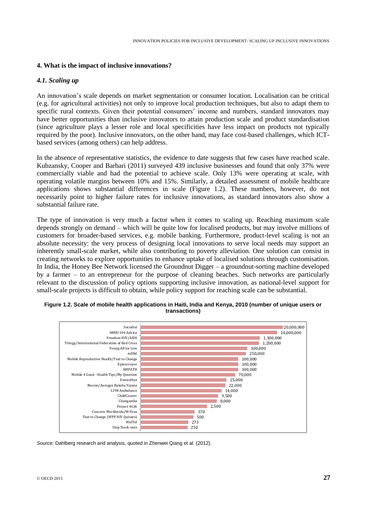# **4. What is the impact of inclusive innovations?**

#### *4.1. Scaling up*

An innovation's scale depends on market segmentation or consumer location. Localisation can be critical (e.g. for agricultural activities) not only to improve local production techniques, but also to adapt them to specific rural contexts. Given their potential consumers' income and numbers, standard innovators may have better opportunities than inclusive innovators to attain production scale and product standardisation (since agriculture plays a lesser role and local specificities have less impact on products not typically required by the poor). Inclusive innovators, on the other hand, may face cost-based challenges, which ICTbased services (among others) can help address.

In the absence of representative statistics, the evidence to date suggests that few cases have reached scale. Kubzansky, Cooper and Barbari (2011) surveyed 439 inclusive businesses and found that only 37% were commercially viable and had the potential to achieve scale. Only 13% were operating at scale, with operating volatile margins between 10% and 15%. Similarly, a detailed assessment of mobile healthcare applications shows substantial differences in scale (Figure 1.2). These numbers, however, do not necessarily point to higher failure rates for inclusive innovations, as standard innovators also show a substantial failure rate.

The type of innovation is very much a factor when it comes to scaling up. Reaching maximum scale depends strongly on demand – which will be quite low for localised products, but may involve millions of customers for broader-based services, e.g. mobile banking. Furthermore, product-level scaling is not an absolute necessity: the very process of designing local innovations to serve local needs may support an inherently small-scale market, while also contributing to poverty alleviation. One solution can consist in creating networks to explore opportunities to enhance uptake of localised solutions through customisation. In India, the Honey Bee Network licensed the Groundnut Digger – a groundnut-sorting machine developed by a farmer – to an entrepreneur for the purpose of cleaning beaches. Such networks are particularly relevant to the discussion of policy options supporting inclusive innovation, as national-level support for small-scale projects is difficult to obtain, while policy support for reaching scale can be substantial.



#### **Figure 1.2. Scale of mobile health applications in Haiti, India and Kenya, 2010 (number of unique users or transactions)**

*Source:* Dahlberg research and analysis, quoted in Zhenwei Qiang et al. (2012).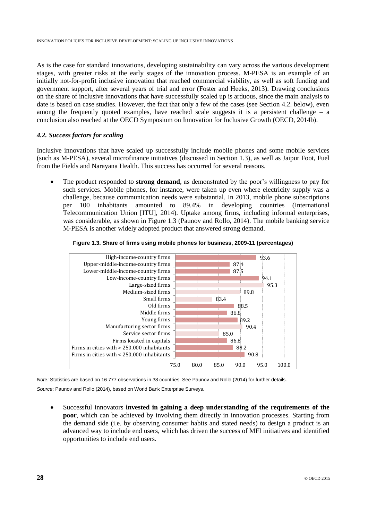As is the case for standard innovations, developing sustainability can vary across the various development stages, with greater risks at the early stages of the innovation process. M-PESA is an example of an initially not-for-profit inclusive innovation that reached commercial viability, as well as soft funding and government support, after several years of trial and error (Foster and Heeks, 2013). Drawing conclusions on the share of inclusive innovations that have successfully scaled up is arduous, since the main analysis to date is based on case studies. However, the fact that only a few of the cases (see Section 4.2. below), even among the frequently quoted examples, have reached scale suggests it is a persistent challenge  $-$  a conclusion also reached at the OECD Symposium on Innovation for Inclusive Growth (OECD, 2014b).

# *4.2. Success factors for scaling*

Inclusive innovations that have scaled up successfully include mobile phones and some mobile services (such as M-PESA), several microfinance initiatives (discussed in Section 1.3), as well as Jaipur Foot, Fuel from the Fields and Narayana Health. This success has occurred for several reasons.

 The product responded to **strong demand**, as demonstrated by the poor's willingness to pay for such services. Mobile phones, for instance, were taken up even where electricity supply was a challenge, because communication needs were substantial. In 2013, mobile phone subscriptions per 100 inhabitants amounted to 89.4% in developing countries (International Telecommunication Union [ITU], 2014). Uptake among firms, including informal enterprises, was considerable, as shown in Figure 1.3 (Paunov and Rollo, 2014). The mobile banking service M-PESA is another widely adopted product that answered strong demand.



# **Figure 1.3. Share of firms using mobile phones for business, 2009-11 (percentages)**

*Not*e*:* Statistics are based on 16 777 observations in 38 countries. See Paunov and Rollo (2014) for further details. *Source*: Paunov and Rollo (2014), based on World Bank Enterprise Surveys.

 Successful innovators **invested in gaining a deep understanding of the requirements of the poor**, which can be achieved by involving them directly in innovation processes. Starting from the demand side (i.e. by observing consumer habits and stated needs) to design a product is an advanced way to include end users, which has driven the success of MFI initiatives and identified opportunities to include end users.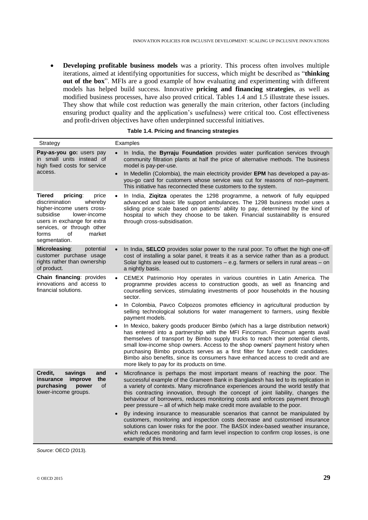**Developing profitable business models** was a priority. This process often involves multiple iterations, aimed at identifying opportunities for success, which might be described as "**thinking out of the box**". MFIs are a good example of how evaluating and experimenting with different models has helped build success. Innovative **pricing and financing strategies**, as well as modified business processes, have also proved critical. Tables 1.4 and 1.5 illustrate these issues. They show that while cost reduction was generally the main criterion, other factors (including ensuring product quality and the application's usefulness) were critical too. Cost effectiveness and profit-driven objectives have often underpinned successful initiatives.

| Strategy                                                                                                                                                                                                                          | Examples                                                                                                                                                                                                                                                                                                                                                                                                                                                                                                                                                   |
|-----------------------------------------------------------------------------------------------------------------------------------------------------------------------------------------------------------------------------------|------------------------------------------------------------------------------------------------------------------------------------------------------------------------------------------------------------------------------------------------------------------------------------------------------------------------------------------------------------------------------------------------------------------------------------------------------------------------------------------------------------------------------------------------------------|
| Pay-as-you go: users pay<br>in small units instead of<br>high fixed costs for service                                                                                                                                             | In India, the Byrraju Foundation provides water purification services through<br>$\bullet$<br>community filtration plants at half the price of alternative methods. The business<br>model is pay-per-use.                                                                                                                                                                                                                                                                                                                                                  |
| access.                                                                                                                                                                                                                           | In Medellin (Colombia), the main electricity provider EPM has developed a pay-as-<br>$\bullet$<br>you-go card for customers whose service was cut for reasons of non-payment.<br>This initiative has reconnected these customers to the system.                                                                                                                                                                                                                                                                                                            |
| <b>Tiered</b><br>pricing:<br>price<br>discrimination<br>whereby<br>higher-income users cross-<br>subsidise<br>lower-income<br>users in exchange for extra<br>services, or through other<br>of<br>market<br>forms<br>segmentation. | In India, Ziqitza operates the 1298 programme, a network of fully equipped<br>$\bullet$<br>advanced and basic life support ambulances. The 1298 business model uses a<br>sliding price scale based on patients' ability to pay, determined by the kind of<br>hospital to which they choose to be taken. Financial sustainability is ensured<br>through cross-subsidisation.                                                                                                                                                                                |
| Microleasing:<br>potential<br>customer purchase usage<br>rights rather than ownership<br>of product.                                                                                                                              | In India, SELCO provides solar power to the rural poor. To offset the high one-off<br>$\bullet$<br>cost of installing a solar panel, it treats it as a service rather than as a product.<br>Solar lights are leased out to customers $-$ e.g. farmers or sellers in rural areas $-$ on<br>a nightly basis.                                                                                                                                                                                                                                                 |
| Chain financing: provides<br>innovations and access to<br>financial solutions.                                                                                                                                                    | CEMEX Patrimonio Hoy operates in various countries in Latin America. The<br>$\bullet$<br>programme provides access to construction goods, as well as financing and<br>counselling services, stimulating investments of poor households in the housing<br>sector.                                                                                                                                                                                                                                                                                           |
|                                                                                                                                                                                                                                   | In Colombia, Pavco Colpozos promotes efficiency in agricultural production by<br>$\bullet$<br>selling technological solutions for water management to farmers, using flexible<br>payment models.                                                                                                                                                                                                                                                                                                                                                           |
|                                                                                                                                                                                                                                   | In Mexico, bakery goods producer Bimbo (which has a large distribution network)<br>has entered into a partnership with the MFI Fincomun. Fincomun agents avail<br>themselves of transport by Bimbo supply trucks to reach their potential clients,<br>small low-income shop owners. Access to the shop owners' payment history when<br>purchasing Bimbo products serves as a first filter for future credit candidates.<br>Bimbo also benefits, since its consumers have enhanced access to credit and are<br>more likely to pay for its products on time. |
| Credit.<br>savings<br>and<br>insurance<br>improve<br>the<br>purchasing<br>power<br>οf<br>lower-income groups.                                                                                                                     | Microfinance is perhaps the most important means of reaching the poor. The<br>$\bullet$<br>successful example of the Grameen Bank in Bangladesh has led to its replication in<br>a variety of contexts. Many microfinance experiences around the world testify that<br>this contracting innovation, through the concept of joint liability, changes the<br>behaviour of borrowers, reduces monitoring costs and enforces payment through<br>peer pressure - all of which help make credit more available to the poor.                                      |
|                                                                                                                                                                                                                                   | By indexing insurance to measurable scenarios that cannot be manipulated by<br>$\bullet$<br>customers, monitoring and inspection costs decrease and customised insurance<br>solutions can lower risks for the poor. The BASIX index-based weather insurance,<br>which reduces monitoring and farm level inspection to confirm crop losses, is one<br>example of this trend.                                                                                                                                                                                |

*Source*: OECD (2013).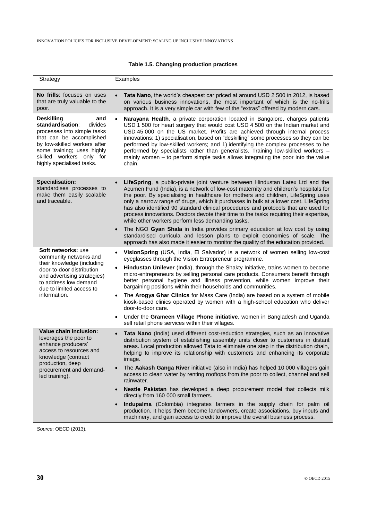| Strategy                                                                                                                                                                                                                                  | Examples                                                                                                                                                                                                                                                                                                                                                                                                                                                                                                                                                                                                                                                                                                                                                                                                                                                                                                                                                             |
|-------------------------------------------------------------------------------------------------------------------------------------------------------------------------------------------------------------------------------------------|----------------------------------------------------------------------------------------------------------------------------------------------------------------------------------------------------------------------------------------------------------------------------------------------------------------------------------------------------------------------------------------------------------------------------------------------------------------------------------------------------------------------------------------------------------------------------------------------------------------------------------------------------------------------------------------------------------------------------------------------------------------------------------------------------------------------------------------------------------------------------------------------------------------------------------------------------------------------|
| No frills: focuses on uses<br>that are truly valuable to the<br>poor.                                                                                                                                                                     | Tata Nano, the world's cheapest car priced at around USD 2 500 in 2012, is based<br>$\bullet$<br>on various business innovations, the most important of which is the no-frills<br>approach. It is a very simple car with few of the "extras" offered by modern cars.                                                                                                                                                                                                                                                                                                                                                                                                                                                                                                                                                                                                                                                                                                 |
| <b>Deskilling</b><br>and<br>standardisation:<br>divides<br>processes into simple tasks<br>that can be accomplished<br>by low-skilled workers after<br>some training; uses highly<br>skilled workers only for<br>highly specialised tasks. | Narayana Health, a private corporation located in Bangalore, charges patients<br>$\bullet$<br>USD 1 500 for heart surgery that would cost USD 4 500 on the Indian market and<br>USD 45 000 on the US market. Profits are achieved through internal process<br>innovations: 1) specialisation, based on "deskilling" some processes so they can be<br>performed by low-skilled workers; and 1) identifying the complex processes to be<br>performed by specialists rather than generalists. Training low-skilled workers -<br>mainly women - to perform simple tasks allows integrating the poor into the value<br>chain.                                                                                                                                                                                                                                                                                                                                             |
| <b>Specialisation:</b><br>standardises processes to<br>make them easily scalable<br>and traceable.                                                                                                                                        | LifeSpring, a public-private joint venture between Hindustan Latex Ltd and the<br>$\bullet$<br>Acumen Fund (India), is a network of low-cost maternity and children's hospitals for<br>the poor. By specialising in healthcare for mothers and children, LifeSpring uses<br>only a narrow range of drugs, which it purchases in bulk at a lower cost. LifeSpring<br>has also identified 90 standard clinical procedures and protocols that are used for<br>process innovations. Doctors devote their time to the tasks requiring their expertise,<br>while other workers perform less demanding tasks.<br>The NGO Gyan Shala in India provides primary education at low cost by using<br>$\bullet$<br>standardised curricula and lesson plans to exploit economies of scale. The<br>approach has also made it easier to monitor the quality of the education provided.                                                                                               |
| Soft networks: use<br>community networks and<br>their knowledge (including<br>door-to-door distribution<br>and advertising strategies)<br>to address low demand<br>due to limited access to<br>information.                               | VisionSpring (USA, India, El Salvador) is a network of women selling low-cost<br>$\bullet$<br>eyeglasses through the Vision Entrepreneur programme.<br>Hindustan Unilever (India), through the Shakty Initiative, trains women to become<br>$\bullet$<br>micro-entrepreneurs by selling personal care products. Consumers benefit through<br>better personal hygiene and illness prevention, while women improve their<br>bargaining positions within their households and communities.<br>The Arogya Ghar Clinics for Mass Care (India) are based on a system of mobile<br>$\bullet$<br>kiosk-based clinics operated by women with a high-school education who deliver<br>door-to-door care.<br>Under the Grameen Village Phone initiative, women in Bangladesh and Uganda<br>$\bullet$<br>sell retail phone services within their villages.                                                                                                                        |
| Value chain inclusion:<br>leverages the poor to<br>enhance producers'<br>access to resources and<br>knowledge (contract<br>production, deep<br>procurement and demand-<br>led training).                                                  | Tata Nano (India) used different cost-reduction strategies, such as an innovative<br>$\bullet$<br>distribution system of establishing assembly units closer to customers in distant<br>areas. Local production allowed Tata to eliminate one step in the distribution chain,<br>helping to improve its relationship with customers and enhancing its corporate<br>image.<br>The Aakash Ganga River initiative (also in India) has helped 10 000 villagers gain<br>access to clean water by renting rooftops from the poor to collect, channel and sell<br>rainwater.<br>Nestle Pakistan has developed a deep procurement model that collects milk<br>$\bullet$<br>directly from 160 000 small farmers.<br>Indupalma (Colombia) integrates farmers in the supply chain for palm oil<br>$\bullet$<br>production. It helps them become landowners, create associations, buy inputs and<br>machinery, and gain access to credit to improve the overall business process. |

# **Table 1.5. Changing production practices**

*Source*: OECD (2013).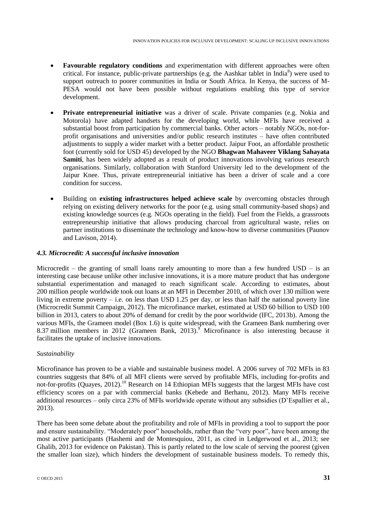- **Favourable regulatory conditions** and experimentation with different approaches were often critical. For instance, public-private partnerships (e.g. the Aashkar tablet in India $\delta$ ) were used to support outreach to poorer communities in India or South Africa. In Kenya, the success of M-PESA would not have been possible without regulations enabling this type of service development.
- **Private entrepreneurial initiative** was a driver of scale. Private companies (e.g. Nokia and Motorola) have adapted handsets for the developing world, while MFIs have received a substantial boost from participation by commercial banks. Other actors – notably NGOs, not-forprofit organisations and universities and/or public research institutes – have often contributed adjustments to supply a wider market with a better product. Jaipur Foot, an affordable prosthetic foot (currently sold for USD 45) developed by the NGO **Bhagwan Mahaveer Viklang Sahayata Samiti**, has been widely adopted as a result of product innovations involving various research organisations. Similarly, collaboration with Stanford University led to the development of the Jaipur Knee. Thus, private entrepreneurial initiative has been a driver of scale and a core condition for success.
- Building on **existing infrastructures helped achieve scale** by overcoming obstacles through relying on existing delivery networks for the poor (e.g. using small community-based shops) and existing knowledge sources (e.g. NGOs operating in the field). Fuel from the Fields, a grassroots entrepreneurship initiative that allows producing charcoal from agricultural waste, relies on partner institutions to disseminate the technology and know-how to diverse communities (Paunov and Lavison, 2014).

# *4.3. Microcredit: A successful inclusive innovation*

Microcredit – the granting of small loans rarely amounting to more than a few hundred  $USD - is an$ interesting case because unlike other inclusive innovations, it is a more mature product that has undergone substantial experimentation and managed to reach significant scale. According to estimates, about 200 million people worldwide took out loans at an MFI in December 2010, of which over 130 million were living in extreme poverty – i.e. on less than USD 1.25 per day, or less than half the national poverty line (Microcredit Summit Campaign, 2012). The microfinance market, estimated at USD 60 billion to USD 100 billion in 2013, caters to about 20% of demand for credit by the poor worldwide (IFC, 2013b). Among the various MFIs, the Grameen model (Box 1.6) is quite widespread, with the Grameen Bank numbering over 8.37 million members in 2012 (Grameen Bank, 2013).<sup>9</sup> Microfinance is also interesting because it facilitates the uptake of inclusive innovations.

# *Sustainability*

Microfinance has proven to be a viable and sustainable business model. A 2006 survey of 702 MFIs in 83 countries suggests that 84% of all MFI clients were served by profitable MFIs, including for-profits and not-for-profits (Quayes, 2012).<sup>10</sup> Research on 14 Ethiopian MFIs suggests that the largest MFIs have cost efficiency scores on a par with commercial banks (Kebede and Berhanu, 2012). Many MFIs receive additional resources – only circa 23% of MFIs worldwide operate without any subsidies (D'Espallier et al., 2013).

There has been some debate about the profitability and role of MFIs in providing a tool to support the poor and ensure sustainability. "Moderately poor" households, rather than the "very poor", have been among the most active participants (Hashemi and de Montesquiou, 2011, as cited in Ledgerwood et al., 2013; see Ghalib, 2013 for evidence on Pakistan). This is partly related to the low scale of serving the poorest (given the smaller loan size), which hinders the development of sustainable business models. To remedy this,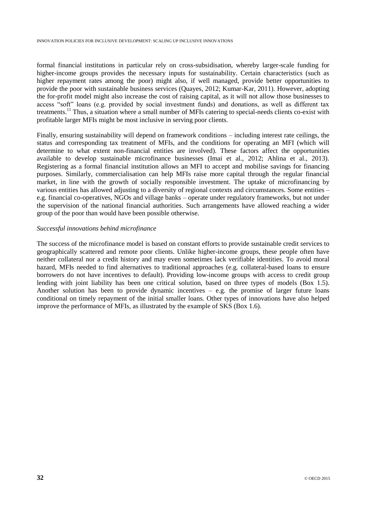formal financial institutions in particular rely on cross-subsidisation, whereby larger-scale funding for higher-income groups provides the necessary inputs for sustainability. Certain characteristics (such as higher repayment rates among the poor) might also, if well managed, provide better opportunities to provide the poor with sustainable business services (Quayes, 2012; Kumar-Kar, 2011). However, adopting the for-profit model might also increase the cost of raising capital, as it will not allow those businesses to access "soft" loans (e.g. provided by social investment funds) and donations, as well as different tax treatments.<sup>11</sup> Thus, a situation where a small number of MFIs catering to special-needs clients co-exist with profitable larger MFIs might be most inclusive in serving poor clients.

Finally, ensuring sustainability will depend on framework conditions – including interest rate ceilings, the status and corresponding tax treatment of MFIs, and the conditions for operating an MFI (which will determine to what extent non-financial entities are involved). These factors affect the opportunities available to develop sustainable microfinance businesses (Imai et al., 2012; Ahlina et al., 2013). Registering as a formal financial institution allows an MFI to accept and mobilise savings for financing purposes. Similarly, commercialisation can help MFIs raise more capital through the regular financial market, in line with the growth of socially responsible investment. The uptake of microfinancing by various entities has allowed adjusting to a diversity of regional contexts and circumstances. Some entities – e.g. financial co-operatives, NGOs and village banks – operate under regulatory frameworks, but not under the supervision of the national financial authorities. Such arrangements have allowed reaching a wider group of the poor than would have been possible otherwise.

#### *Successful innovations behind microfinance*

The success of the microfinance model is based on constant efforts to provide sustainable credit services to geographically scattered and remote poor clients. Unlike higher-income groups, these people often have neither collateral nor a credit history and may even sometimes lack verifiable identities. To avoid moral hazard, MFIs needed to find alternatives to traditional approaches (e.g. collateral-based loans to ensure borrowers do not have incentives to default). Providing low-income groups with access to credit group lending with joint liability has been one critical solution, based on three types of models (Box 1.5). Another solution has been to provide dynamic incentives – e.g. the promise of larger future loans conditional on timely repayment of the initial smaller loans. Other types of innovations have also helped improve the performance of MFIs, as illustrated by the example of SKS (Box 1.6).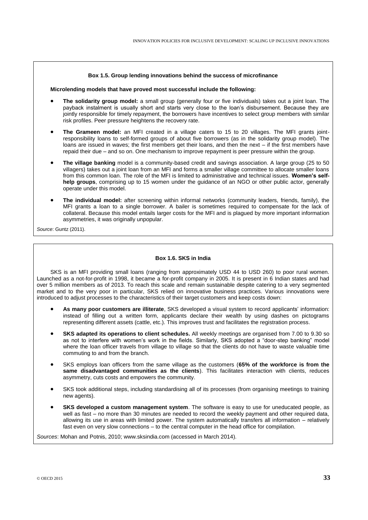#### **Box 1.5. Group lending innovations behind the success of microfinance**

**Microlending models that have proved most successful include the following:**

- **The solidarity group model:** a small group (generally four or five individuals) takes out a joint loan. The payback instalment is usually short and starts very close to the loan's disbursement. Because they are jointly responsible for timely repayment, the borrowers have incentives to select group members with similar risk profiles. Peer pressure heightens the recovery rate.
- **The Grameen model:** an MFI created in a village caters to 15 to 20 villages. The MFI grants jointresponsibility loans to self-formed groups of about five borrowers (as in the solidarity group model). The loans are issued in waves; the first members get their loans, and then the next – if the first members have repaid their due – and so on. One mechanism to improve repayment is peer pressure within the group.
- **The village banking** model is a community-based credit and savings association. A large group (25 to 50 villagers) takes out a joint loan from an MFI and forms a smaller village committee to allocate smaller loans from this common loan. The role of the MFI is limited to administrative and technical issues. **Women's selfhelp groups**, comprising up to 15 women under the guidance of an NGO or other public actor, generally operate under this model.
- **The individual model:** after screening within informal networks (community leaders, friends, family), the MFI grants a loan to a single borrower. A bailer is sometimes required to compensate for the lack of collateral. Because this model entails larger costs for the MFI and is plagued by more important information asymmetries, it was originally unpopular.

*Source*: Guntz (2011).

#### **Box 1.6. SKS in India**

SKS is an MFI providing small loans (ranging from approximately USD 44 to USD 260) to poor rural women. Launched as a not-for-profit in 1998, it became a for-profit company in 2005. It is present in 6 Indian states and had over 5 million members as of 2013. To reach this scale and remain sustainable despite catering to a very segmented market and to the very poor in particular, SKS relied on innovative business practices. Various innovations were introduced to adjust processes to the characteristics of their target customers and keep costs down:

- **As many poor customers are illiterate**, SKS developed a visual system to record applicants' information: instead of filling out a written form, applicants declare their wealth by using dashes on pictograms representing different assets (cattle, etc.). This improves trust and facilitates the registration process.
- **SKS adapted its operations to client schedules.** All weekly meetings are organised from 7.00 to 9.30 so as not to interfere with women's work in the fields. Similarly, SKS adopted a "door-step banking" model where the loan officer travels from village to village so that the clients do not have to waste valuable time commuting to and from the branch.
- SKS employs loan officers from the same village as the customers (**65% of the workforce is from the same disadvantaged communities as the clients**). This facilitates interaction with clients, reduces asymmetry, cuts costs and empowers the community.
- SKS took additional steps, including standardising all of its processes (from organising meetings to training new agents).
- **SKS developed a custom management system**. The software is easy to use for uneducated people, as well as fast – no more than 30 minutes are needed to record the weekly payment and other required data, allowing its use in areas with limited power. The system automatically transfers all information – relatively fast even on very slow connections – to the central computer in the head office for compilation.

*Sources*: Mohan and Potnis, 2010; www.sksindia.com (accessed in March 2014).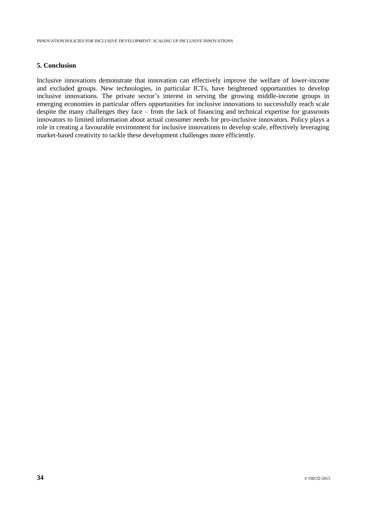# **5. Conclusion**

Inclusive innovations demonstrate that innovation can effectively improve the welfare of lower-income and excluded groups. New technologies, in particular ICTs, have heightened opportunities to develop inclusive innovations. The private sector's interest in serving the growing middle-income groups in emerging economies in particular offers opportunities for inclusive innovations to successfully reach scale despite the many challenges they face – from the lack of financing and technical expertise for grassroots innovators to limited information about actual consumer needs for pro-inclusive innovators. Policy plays a role in creating a favourable environment for inclusive innovations to develop scale, effectively leveraging market-based creativity to tackle these development challenges more efficiently.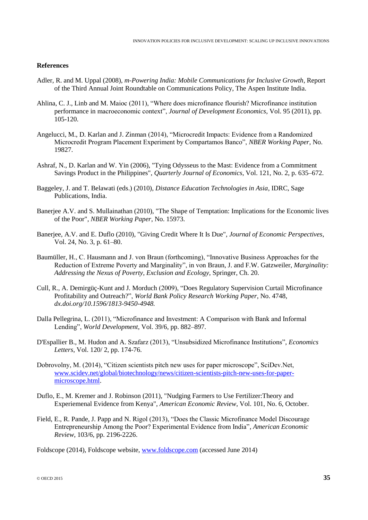#### **References**

- Adler, R. and M. Uppal (2008), *m-Powering India: Mobile Communications for Inclusive Growth*, Report of the Third Annual Joint Roundtable on Communications Policy, The Aspen Institute India.
- Ahlina, C. J., Linb and M. Maioc (2011), "Where does microfinance flourish? Microfinance institution performance in macroeconomic context", *Journal of Development Economics*, Vol. 95 (2011), pp.  $105 - 120$ .
- Angelucci, M., D. Karlan and J. Zinman (2014), "Microcredit Impacts: Evidence from a Randomized Microcredit Program Placement Experiment by Compartamos Banco", *NBER Working Paper,* No. 19827.
- Ashraf, N., D. Karlan and W. Yin (2006), "Tying Odysseus to the Mast: Evidence from a Commitment Savings Product in the Philippines", *Quarterly Journal of Economics*, Vol. 121, No. 2, p. 635–672.
- Baggeley, J. and T. Belawati (eds.) (2010), *Distance Education Technologies in Asia*, IDRC, Sage Publications, India.
- Banerjee A.V. and S. Mullainathan (2010), "The Shape of Temptation: Implications for the Economic lives of the Poor", *NBER Working Paper*, No. 15973.
- Banerjee, A.V. and E. Duflo (2010), "Giving Credit Where It Is Due", *Journal of Economic Perspectives*, Vol. 24, No. 3, p. 61–80.
- Baumüller, H., C. Hausmann and J. von Braun (forthcoming), "Innovative Business Approaches for the Reduction of Extreme Poverty and Marginality", in von Braun, J. and F.W. Gatzweiler, *Marginality: Addressing the Nexus of Poverty, Exclusion and Ecology,* Springer, Ch. 20.
- Cull, R., A. Demirgüç-Kunt and J. Morduch (2009), "Does Regulatory Supervision Curtail Microfinance Profitability and Outreach?", *World Bank Policy Research Working Paper*, No. 4748*, dx.doi.org/10.1596/1813-9450-4948.*
- Dalla Pellegrina, L. (2011), "Microfinance and Investment: A Comparison with Bank and Informal Lending", *World Development*, Vol. 39/6, pp. 882–897.
- D'Espallier B., M. Hudon and A. Szafarz (2013), "Unsubsidized Microfinance Institutions", *Economics Letters*, Vol. 120/ 2, pp. 174-76.
- Dobrovolny, M. (2014), "Citizen scientists pitch new uses for paper microscope", SciDev.Net, [www.scidev.net/global/biotechnology/news/citizen-scientists-pitch-new-uses-for-paper](http://www.scidev.net/global/biotechnology/news/citizen-scientists-pitch-new-uses-for-paper-microscope.html)[microscope.html.](http://www.scidev.net/global/biotechnology/news/citizen-scientists-pitch-new-uses-for-paper-microscope.html)
- Duflo, E., M. Kremer and J. Robinson (2011), "Nudging Farmers to Use Fertilizer:Theory and Experiemenal Evidence from Kenya", *American Economic Review*, Vol. 101, No. 6, October.
- Field, E., R. Pande, J. Papp and N. Rigol (2013), "Does the Classic Microfinance Model Discourage Entrepreneurship Among the Poor? Experimental Evidence from India", *American Economic Review*, 103/6, pp. 2196-2226.

Foldscope (2014), Foldscope website, [www.foldscope.com](http://www.foldscope.com/) (accessed June 2014)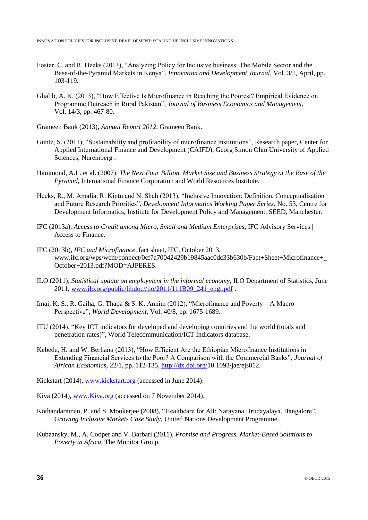- Foster, C. and R. Heeks (2013), "Analyzing Policy for Inclusive business: The Mobile Sector and the Base-of-the-Pyramid Markets in Kenya", *Innovation and Development Journal*, Vol. 3/1, April, pp. 103-119.
- Ghalib, A. K. (2013), "How Effective Is Microfinance in Reaching the Poorest? Empirical Evidence on Programme Outreach in Rural Pakistan", *Journal of Business Economics and Management*, Vol. 14/3, pp. 467-80.
- Grameen Bank (2013), *Annual Report 2012*, Grameen Bank.
- Guntz, S. (2011), "Sustainability and profitability of microfinance institutions", Research paper, Center for Applied International Finance and Development (CAIFD), Georg Simon Ohm University of Applied Sciences, Nuremberg .
- Hammond, A.L. et al. (2007), *The Next Four Billion. Market Size and Business Strategy at the Base of the Pyramid, International Finance Corporation and World Resources Institute.*
- Heeks, R., M. Amalia, R. Kintu and N. Shah (2013), "Inclusive Innovation: Definition, Conceptualisation and Future Research Priorities", *Development Informatics Working Paper Series*, No. 53, Centre for Development Informatics, Institute for Development Policy and Management, SEED, Manchester.
- IFC (2013a), *Access to Credit among Micro, Small and Medium Enterprises*, IFC Advisory Services | Access to Finance.
- IFC (2013b), *IFC and Microfinance*, fact sheet, IFC, October 2013, www.ifc.org/wps/wcm/connect/0cf7a70042429b19845aac0dc33b630b/Fact+Sheet+Microfinance+\_ October+2013.pdf?MOD=AJPERES.
- ILO (2011), *Statistical update on employment in the informal economy*, ILO Department of Statistics, June  $2011$ , www.ilo.org/public/libdoc//ilo/2011/111B09 241 engl.pdf.
- Imai, K. S., R. Gaiha, G. Thapa & S. K. Annim (2012), "Microfinance and Poverty A Macro Perspective", *World Development*, Vol. 40/8, pp. 1675-1689.
- ITU (2014), "Key ICT indicators for developed and developing countries and the world (totals and penetration rates)", World Telecommunication/ICT Indicators database.
- Kebede, H. and W. Berhanu (2013), "How Efficient Are the Ethiopian Microfinance Institutions in Extending Financial Services to the Poor? A Comparison with the Commercial Banks", *Journal of African Economics*, 22/1, pp. 112-135, [http://dx.doi.org/1](http://dx.doi.org/10.1787/9789264177338-en)0.1093/jae/ejs012.
- Kickstart (2014), [www.kickstart.org](http://www.kickstart.org/) (accessed in June 2014).
- Kiva (2014), [www.Kiva.org](http://www.kiva.org/) (accessed on 7 November 2014).
- Kothandaraman, P. and S. Mookerjee (2008), "Healthcare for All: Narayana Hrudayalaya, Bangalore", *Growing Inclusive Markets Case Study,* United Nations Development Programme.
- Kubzansky, M., A. Cooper and V. Barbari (2011), *Promise and Progress. Market-Based Solutions to Poverty in Africa*, The Monitor Group.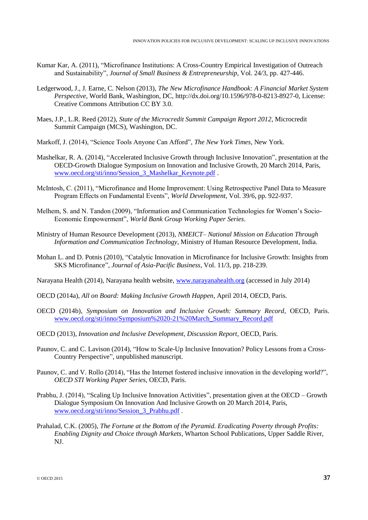- Kumar Kar, A. (2011), "Microfinance Institutions: A Cross-Country Empirical Investigation of Outreach and Sustainability", *Journal of Small Business & Entrepreneurship*, Vol. 24/3, pp. 427-446.
- Ledgerwood, J., J. Earne, C. Nelson (2013), *The New Microfinance Handbook: A Financial Market System Perspective*, World Bank, Washington, DC, http://dx.doi.org/10.1596/978-0-8213-8927-0, License: Creative Commons Attribution CC BY 3.0.
- Maes, J.P., L.R. Reed (2012), *State of the Microcredit Summit Campaign Report 2012*, Microcredit Summit Campaign (MCS), Washington, DC.
- Markoff, J. (2014), "Science Tools Anyone Can Afford", *The New York Times,* New York.
- Mashelkar, R. A. (2014), "Accelerated Inclusive Growth through Inclusive Innovation", presentation at the OECD-Growth Dialogue Symposium on Innovation and Inclusive Growth, 20 March 2014, Paris, [www.oecd.org/sti/inno/Session\\_3\\_Mashelkar\\_Keynote.pdf](http://www.oecd.org/sti/inno/Session_3_Mashelkar_Keynote.pdf) .
- McIntosh, C. (2011), "Microfinance and Home Improvement: Using Retrospective Panel Data to Measure Program Effects on Fundamental Events", *World Development*, Vol. 39/6, pp. 922-937.
- Melhem, S. and N. Tandon (2009), "Information and Communication Technologies for Women's Socio-Economic Empowerment", *World Bank Group Working Paper Series*.
- Ministry of Human Resource Development (2013), *NMEICT– National Mission on Education Through Information and Communication Technology*, Ministry of Human Resource Development, India.
- Mohan L. and D. Potnis (2010), "Catalytic Innovation in Microfinance for Inclusive Growth: Insights from SKS Microfinance", *Journal of Asia-Pacific Business*, Vol. 11/3, pp. 218-239.
- Narayana Health (2014), Narayana health website, [www.narayanahealth.org](http://www.narayanahealth.org/) (accessed in July 2014)
- OECD (2014a), *All on Board: Making Inclusive Growth Happen*, April 2014, OECD, Paris.
- OECD (2014b), *Symposium on Innovation and Inclusive Growth: Summary Record*, OECD, Paris. [www.oecd.org/sti/inno/Symposium%2020-21%20March\\_Summary\\_Record.pdf](http://www.oecd.org/sti/inno/Symposium%2020-21%20March_Summary_Record.pdf)
- OECD (2013), *Innovation and Inclusive Development, Discussion Report*, OECD, Paris.
- Paunov, C. and C. Lavison (2014), "How to Scale-Up Inclusive Innovation? Policy Lessons from a Cross-Country Perspective", unpublished manuscript.
- Paunov, C. and V. Rollo (2014), "Has the Internet fostered inclusive innovation in the developing world?", *OECD STI Working Paper Series*, OECD, Paris.
- Prabhu, J. (2014), "Scaling Up Inclusive Innovation Activities", presentation given at the OECD Growth Dialogue Symposium On Innovation And Inclusive Growth on 20 March 2014, Paris, [www.oecd.org/sti/inno/Session\\_3\\_Prabhu.pdf](http://www.oecd.org/sti/inno/Session_3_Prabhu.pdf) .
- Prahalad, C.K. (2005), *The Fortune at the Bottom of the Pyramid. Eradicating Poverty through Profits: Enabling Dignity and Choice through Markets*, Wharton School Publications, Upper Saddle River, NJ.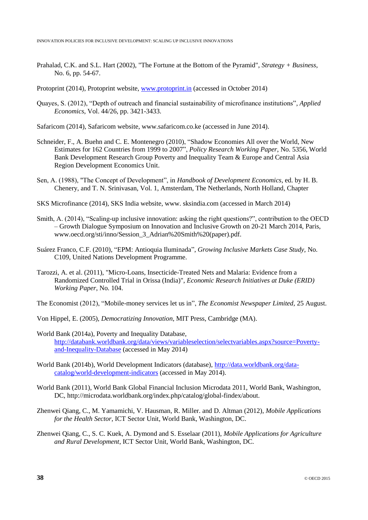- Prahalad, C.K. and S.L. Hart (2002), "The Fortune at the Bottom of the Pyramid", *Strategy + Business*, No. 6, pp. 54-67.
- Protoprint (2014), Protoprint website, [www.protoprint.in](http://www.protoprint.in/) (accessed in October 2014)
- Quayes, S. (2012), "Depth of outreach and financial sustainability of microfinance institutions", *Applied Economics*, Vol. 44/26, pp. 3421-3433.
- Safaricom (2014), Safaricom website, www.safaricom.co.ke (accessed in June 2014).
- Schneider, F., A. Buehn and C. E. Montenegro (2010), "Shadow Economies All over the World, New Estimates for 162 Countries from 1999 to 2007", *Policy Research Working Paper*, No. 5356, World Bank Development Research Group Poverty and Inequality Team & Europe and Central Asia Region Development Economics Unit.
- Sen, A. (1988), "The Concept of Development", in *Handbook of Development Economics,* ed. by H. B. Chenery, and T. N. Srinivasan, Vol. 1, Amsterdam, The Netherlands, North Holland, Chapter
- SKS Microfinance (2014), SKS India website, www. sksindia.com (accessed in March 2014)
- Smith, A. (2014), "Scaling-up inclusive innovation: asking the right questions?", contribution to the OECD – Growth Dialogue Symposium on Innovation and Inclusive Growth on 20-21 March 2014, Paris, www.oecd.org/sti/inno/Session\_3\_Adrian%20Smith%20(paper).pdf.
- Suárez Franco, C.F. (2010), "EPM: Antioquia Iluminada", *Growing Inclusive Markets Case Study,* No. C109, United Nations Development Programme.
- Tarozzi, A. et al. (2011), "Micro-Loans, Insecticide-Treated Nets and Malaria: Evidence from a Randomized Controlled Trial in Orissa (India)", *Economic Research Initiatives at Duke (ERID) Working Paper*, No. 104.
- The Economist (2012), "Mobile-money services let us in", *The Economist Newspaper Limited,* 25 August.
- Von Hippel, E. (2005), *Democratizing Innovation*, MIT Press, Cambridge (MA).
- World Bank (2014a), Poverty and Inequality Database, [http://databank.worldbank.org/data/views/variableselection/selectvariables.aspx?source=Poverty](http://databank.worldbank.org/data/views/variableselection/selectvariables.aspx?source=Poverty-and-Inequality-Database)[and-Inequality-Database](http://databank.worldbank.org/data/views/variableselection/selectvariables.aspx?source=Poverty-and-Inequality-Database) (accessed in May 2014)
- World Bank (2014b), World Development Indicators (database), [http://data.worldbank.org/data](http://data.worldbank.org/data-catalog/world-development-indicators)[catalog/world-development-indicators](http://data.worldbank.org/data-catalog/world-development-indicators) (accessed in May 2014).
- World Bank (2011), World Bank Global Financial Inclusion Microdata 2011, World Bank, Washington, DC, http://microdata.worldbank.org/index.php/catalog/global-findex/about.
- Zhenwei Qiang, C., M. Yamamichi, V. Hausman, R. Miller. and D. Altman (2012), *Mobile Applications for the Health Sector*, ICT Sector Unit, World Bank, Washington, DC.
- Zhenwei Qiang, C., S. C. Kuek, A. Dymond and S. Esselaar (2011), *Mobile Applications for Agriculture and Rural Development*, ICT Sector Unit, World Bank, Washington, DC.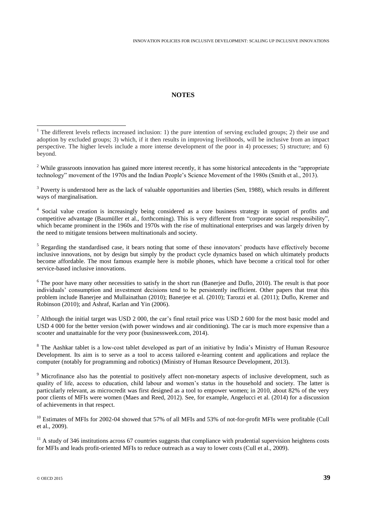# **NOTES**

<sup>2</sup> While grassroots innovation has gained more interest recently, it has some historical antecedents in the "appropriate" technology" movement of the 1970s and the Indian People's Science Movement of the 1980s (Smith et al., 2013).

 $3$  Poverty is understood here as the lack of valuable opportunities and liberties (Sen, 1988), which results in different ways of marginalisation.

<sup>4</sup> Social value creation is increasingly being considered as a core business strategy in support of profits and competitive advantage (Baumüller et al., forthcoming). This is very different from "corporate social responsibility", which became prominent in the 1960s and 1970s with the rise of multinational enterprises and was largely driven by the need to mitigate tensions between multinationals and society.

<sup>5</sup> Regarding the standardised case, it bears noting that some of these innovators' products have effectively become inclusive innovations, not by design but simply by the product cycle dynamics based on which ultimately products become affordable. The most famous example here is mobile phones, which have become a critical tool for other service-based inclusive innovations.

 $6$  The poor have many other necessities to satisfy in the short run (Banerjee and Duflo, 2010). The result is that poor individuals' consumption and investment decisions tend to be persistently inefficient. Other papers that treat this problem include Banerjee and Mullainathan (2010); Banerjee et al. (2010); Tarozzi et al. (2011); Duflo, Kremer and Robinson (2010); and Ashraf, Karlan and Yin (2006).

 $<sup>7</sup>$  Although the initial target was USD 2 000, the car's final retail price was USD 2 600 for the most basic model and</sup> USD 4 000 for the better version (with power windows and air conditioning). The car is much more expensive than a scooter and unattainable for the very poor (businessweek.com, 2014).

<sup>8</sup> The Aashkar tablet is a low-cost tablet developed as part of an initiative by India's Ministry of Human Resource Development. Its aim is to serve as a tool to access tailored e-learning content and applications and replace the computer (notably for programming and robotics) (Ministry of Human Resource Development, 2013).

<sup>9</sup> Microfinance also has the potential to positively affect non-monetary aspects of inclusive development, such as quality of life, access to education, child labour and women's status in the household and society. The latter is particularly relevant, as microcredit was first designed as a tool to empower women; in 2010, about 82% of the very poor clients of MFIs were women (Maes and Reed, 2012). See, for example, Angelucci et al. (2014) for a discussion of achievements in that respect.

<sup>10</sup> Estimates of MFIs for 2002-04 showed that 57% of all MFIs and 53% of not-for-profit MFIs were profitable (Cull et al., 2009).

 $11$  A study of 346 institutions across 67 countries suggests that compliance with prudential supervision heightens costs for MFIs and leads profit-oriented MFIs to reduce outreach as a way to lower costs (Cull et al., 2009).

<sup>&</sup>lt;sup>1</sup> The different levels reflects increased inclusion: 1) the pure intention of serving excluded groups; 2) their use and adoption by excluded groups; 3) which, if it then results in improving livelihoods, will be inclusive from an impact perspective. The higher levels include a more intense development of the poor in 4) processes; 5) structure; and 6) beyond.